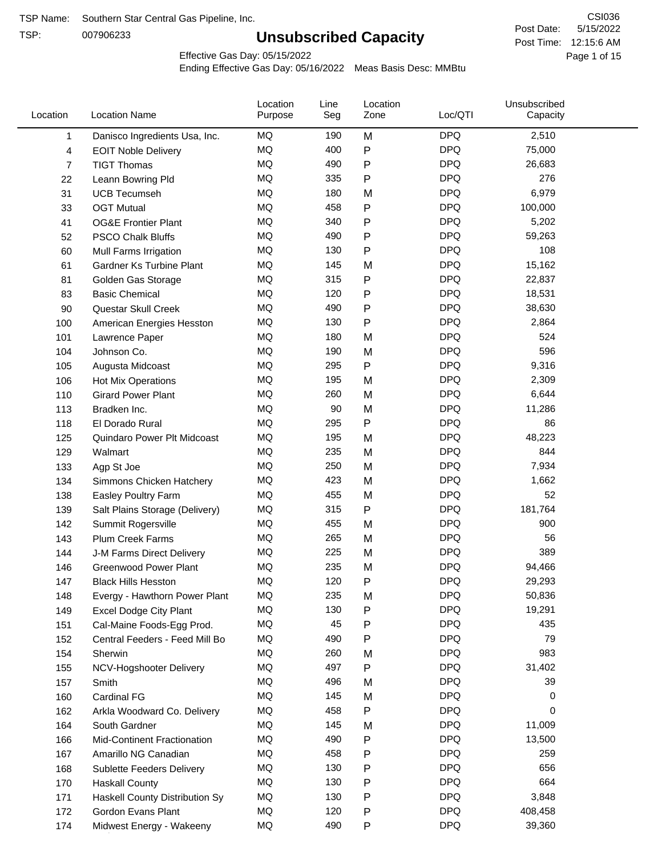TSP:

# **Unsubscribed Capacity**

5/15/2022 Page 1 of 15 Post Time: 12:15:6 AM CSI036 Post Date:

Effective Gas Day: 05/15/2022

| Location | <b>Location Name</b>               | Location<br>Purpose | Line<br>Seg | Location<br>Zone | Loc/QTI    | Unsubscribed<br>Capacity |  |
|----------|------------------------------------|---------------------|-------------|------------------|------------|--------------------------|--|
| 1        | Danisco Ingredients Usa, Inc.      | MQ                  | 190         | M                | <b>DPQ</b> | 2,510                    |  |
| 4        | <b>EOIT Noble Delivery</b>         | MQ                  | 400         | P                | <b>DPQ</b> | 75,000                   |  |
| 7        | <b>TIGT Thomas</b>                 | MQ                  | 490         | P                | <b>DPQ</b> | 26,683                   |  |
| 22       | Leann Bowring Pld                  | MQ                  | 335         | $\mathsf{P}$     | <b>DPQ</b> | 276                      |  |
| 31       | <b>UCB Tecumseh</b>                | MQ                  | 180         | M                | <b>DPQ</b> | 6,979                    |  |
| 33       | <b>OGT Mutual</b>                  | MQ                  | 458         | P                | <b>DPQ</b> | 100,000                  |  |
| 41       | <b>OG&amp;E Frontier Plant</b>     | MQ                  | 340         | ${\sf P}$        | <b>DPQ</b> | 5,202                    |  |
| 52       | <b>PSCO Chalk Bluffs</b>           | MQ                  | 490         | $\mathsf{P}$     | <b>DPQ</b> | 59,263                   |  |
| 60       | Mull Farms Irrigation              | MQ                  | 130         | P                | <b>DPQ</b> | 108                      |  |
| 61       | Gardner Ks Turbine Plant           | MQ                  | 145         | M                | <b>DPQ</b> | 15,162                   |  |
| 81       | Golden Gas Storage                 | MQ                  | 315         | P                | <b>DPQ</b> | 22,837                   |  |
| 83       | <b>Basic Chemical</b>              | MQ                  | 120         | P                | <b>DPQ</b> | 18,531                   |  |
| 90       | Questar Skull Creek                | MQ                  | 490         | P                | <b>DPQ</b> | 38,630                   |  |
| 100      | American Energies Hesston          | MQ                  | 130         | ${\sf P}$        | <b>DPQ</b> | 2,864                    |  |
| 101      | Lawrence Paper                     | <b>MQ</b>           | 180         | M                | <b>DPQ</b> | 524                      |  |
| 104      | Johnson Co.                        | MQ                  | 190         | M                | <b>DPQ</b> | 596                      |  |
| 105      | Augusta Midcoast                   | <b>MQ</b>           | 295         | $\mathsf{P}$     | <b>DPQ</b> | 9,316                    |  |
| 106      | Hot Mix Operations                 | MQ                  | 195         | M                | <b>DPQ</b> | 2,309                    |  |
| 110      | <b>Girard Power Plant</b>          | MQ                  | 260         | M                | <b>DPQ</b> | 6,644                    |  |
| 113      | Bradken Inc.                       | MQ                  | 90          | M                | <b>DPQ</b> | 11,286                   |  |
| 118      | El Dorado Rural                    | MQ                  | 295         | ${\sf P}$        | <b>DPQ</b> | 86                       |  |
| 125      | Quindaro Power Plt Midcoast        | MQ                  | 195         | M                | <b>DPQ</b> | 48,223                   |  |
| 129      | Walmart                            | <b>MQ</b>           | 235         | M                | <b>DPQ</b> | 844                      |  |
| 133      | Agp St Joe                         | <b>MQ</b>           | 250         | M                | <b>DPQ</b> | 7,934                    |  |
| 134      | Simmons Chicken Hatchery           | MQ                  | 423         | M                | <b>DPQ</b> | 1,662                    |  |
| 138      | Easley Poultry Farm                | MQ                  | 455         | M                | <b>DPQ</b> | 52                       |  |
| 139      | Salt Plains Storage (Delivery)     | MQ                  | 315         | P                | <b>DPQ</b> | 181,764                  |  |
| 142      | Summit Rogersville                 | MQ                  | 455         | M                | <b>DPQ</b> | 900                      |  |
| 143      | <b>Plum Creek Farms</b>            | MQ                  | 265         | M                | <b>DPQ</b> | 56                       |  |
| 144      | J-M Farms Direct Delivery          | MQ                  | 225         | M                | <b>DPQ</b> | 389                      |  |
| 146      | <b>Greenwood Power Plant</b>       | <b>MQ</b>           | 235         | M                | <b>DPQ</b> | 94,466                   |  |
| 147      | <b>Black Hills Hesston</b>         | MQ                  | 120         | Þ                | <b>DPQ</b> | 29,293                   |  |
| 148      | Evergy - Hawthorn Power Plant      | MQ                  | 235         | M                | DPQ        | 50,836                   |  |
| 149      | Excel Dodge City Plant             | MQ                  | 130         | P                | <b>DPQ</b> | 19,291                   |  |
| 151      | Cal-Maine Foods-Egg Prod.          | MQ                  | 45          | P                | <b>DPQ</b> | 435                      |  |
| 152      | Central Feeders - Feed Mill Bo     | MQ                  | 490         | P                | <b>DPQ</b> | 79                       |  |
| 154      | Sherwin                            | MQ                  | 260         | M                | <b>DPQ</b> | 983                      |  |
| 155      | NCV-Hogshooter Delivery            | MQ                  | 497         | P                | <b>DPQ</b> | 31,402                   |  |
| 157      | Smith                              | MQ                  | 496         | M                | <b>DPQ</b> | 39                       |  |
| 160      | Cardinal FG                        | MQ                  | 145         | M                | <b>DPQ</b> | 0                        |  |
| 162      | Arkla Woodward Co. Delivery        | MQ                  | 458         | Ρ                | <b>DPQ</b> | 0                        |  |
| 164      | South Gardner                      | MQ                  | 145         | M                | <b>DPQ</b> | 11,009                   |  |
| 166      | <b>Mid-Continent Fractionation</b> | MQ                  | 490         | P                | <b>DPQ</b> | 13,500                   |  |
| 167      | Amarillo NG Canadian               | MQ                  | 458         | P                | <b>DPQ</b> | 259                      |  |
| 168      | Sublette Feeders Delivery          | MQ                  | 130         | P                | <b>DPQ</b> | 656                      |  |
| 170      | <b>Haskall County</b>              | MQ                  | 130         | P                | <b>DPQ</b> | 664                      |  |
| 171      | Haskell County Distribution Sy     | MQ                  | 130         | P                | <b>DPQ</b> | 3,848                    |  |
| 172      | Gordon Evans Plant                 | MQ                  | 120         | P                | <b>DPQ</b> | 408,458                  |  |
| 174      | Midwest Energy - Wakeeny           | MQ                  | 490         | P                | <b>DPQ</b> | 39,360                   |  |
|          |                                    |                     |             |                  |            |                          |  |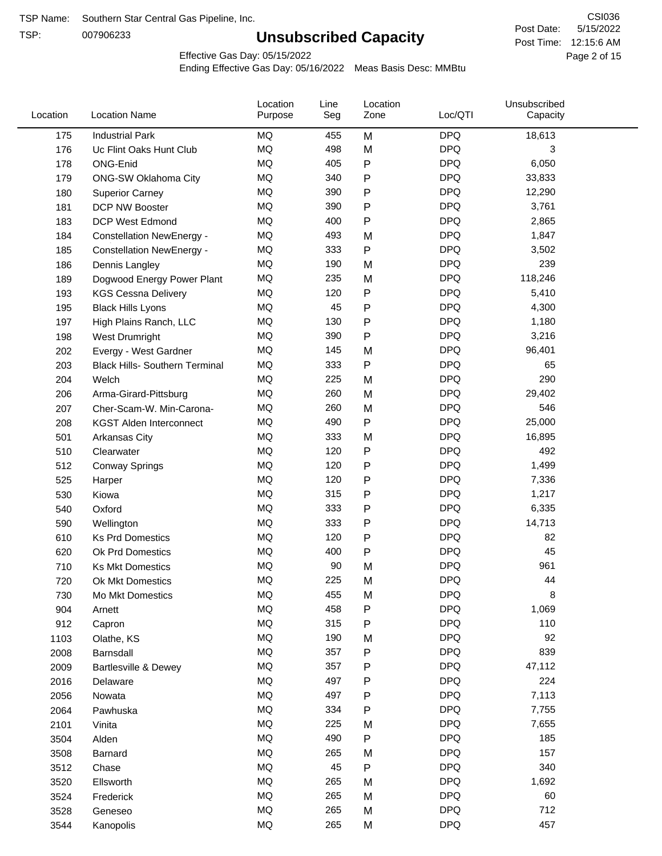TSP:

# **Unsubscribed Capacity**

5/15/2022 Page 2 of 15 Post Time: 12:15:6 AM CSI036 Post Date:

Effective Gas Day: 05/15/2022

| Location | <b>Location Name</b>                  | Location<br>Purpose | Line<br>Seg | Location<br>Zone | Loc/QTI    | Unsubscribed<br>Capacity |  |
|----------|---------------------------------------|---------------------|-------------|------------------|------------|--------------------------|--|
| 175      | <b>Industrial Park</b>                | MQ                  | 455         | M                | <b>DPQ</b> | 18,613                   |  |
| 176      | Uc Flint Oaks Hunt Club               | MQ                  | 498         | M                | <b>DPQ</b> | 3                        |  |
| 178      | ONG-Enid                              | MQ                  | 405         | P                | <b>DPQ</b> | 6,050                    |  |
| 179      | ONG-SW Oklahoma City                  | MQ                  | 340         | P                | <b>DPQ</b> | 33,833                   |  |
| 180      | <b>Superior Carney</b>                | <b>MQ</b>           | 390         | Ρ                | <b>DPQ</b> | 12,290                   |  |
| 181      | DCP NW Booster                        | <b>MQ</b>           | 390         | P                | <b>DPQ</b> | 3,761                    |  |
| 183      | <b>DCP West Edmond</b>                | <b>MQ</b>           | 400         | P                | <b>DPQ</b> | 2,865                    |  |
| 184      | <b>Constellation NewEnergy -</b>      | <b>MQ</b>           | 493         | M                | <b>DPQ</b> | 1,847                    |  |
| 185      | <b>Constellation NewEnergy -</b>      | MQ                  | 333         | P                | <b>DPQ</b> | 3,502                    |  |
| 186      | Dennis Langley                        | <b>MQ</b>           | 190         | M                | <b>DPQ</b> | 239                      |  |
| 189      | Dogwood Energy Power Plant            | MQ                  | 235         | M                | <b>DPQ</b> | 118,246                  |  |
| 193      | <b>KGS Cessna Delivery</b>            | MQ                  | 120         | P                | <b>DPQ</b> | 5,410                    |  |
| 195      | <b>Black Hills Lyons</b>              | <b>MQ</b>           | 45          | Ρ                | <b>DPQ</b> | 4,300                    |  |
| 197      | High Plains Ranch, LLC                | <b>MQ</b>           | 130         | Ρ                | <b>DPQ</b> | 1,180                    |  |
| 198      | West Drumright                        | <b>MQ</b>           | 390         | P                | <b>DPQ</b> | 3,216                    |  |
| 202      | Evergy - West Gardner                 | <b>MQ</b>           | 145         | M                | <b>DPQ</b> | 96,401                   |  |
| 203      | <b>Black Hills- Southern Terminal</b> | <b>MQ</b>           | 333         | P                | <b>DPQ</b> | 65                       |  |
| 204      | Welch                                 | MQ                  | 225         | M                | <b>DPQ</b> | 290                      |  |
| 206      | Arma-Girard-Pittsburg                 | <b>MQ</b>           | 260         | M                | <b>DPQ</b> | 29,402                   |  |
| 207      | Cher-Scam-W. Min-Carona-              | MQ                  | 260         | M                | <b>DPQ</b> | 546                      |  |
| 208      | <b>KGST Alden Interconnect</b>        | <b>MQ</b>           | 490         | P                | <b>DPQ</b> | 25,000                   |  |
| 501      | <b>Arkansas City</b>                  | <b>MQ</b>           | 333         | M                | <b>DPQ</b> | 16,895                   |  |
| 510      | Clearwater                            | <b>MQ</b>           | 120         | P                | <b>DPQ</b> | 492                      |  |
| 512      | <b>Conway Springs</b>                 | <b>MQ</b>           | 120         | P                | <b>DPQ</b> | 1,499                    |  |
| 525      | Harper                                | <b>MQ</b>           | 120         | P                | <b>DPQ</b> | 7,336                    |  |
| 530      | Kiowa                                 | MQ                  | 315         | P                | <b>DPQ</b> | 1,217                    |  |
| 540      | Oxford                                | <b>MQ</b>           | 333         | Ρ                | <b>DPQ</b> | 6,335                    |  |
| 590      | Wellington                            | <b>MQ</b>           | 333         | Ρ                | <b>DPQ</b> | 14,713                   |  |
| 610      | <b>Ks Prd Domestics</b>               | MQ                  | 120         | P                | <b>DPQ</b> | 82                       |  |
| 620      | Ok Prd Domestics                      | <b>MQ</b>           | 400         | P                | <b>DPQ</b> | 45                       |  |
| 710      | <b>Ks Mkt Domestics</b>               | <b>MQ</b>           | 90          | M                | <b>DPQ</b> | 961                      |  |
| 720      | Ok Mkt Domestics                      | MQ                  | 225         | M                | <b>DPQ</b> | 44                       |  |
| 730      | Mo Mkt Domestics                      | MQ                  | 455         | M                | <b>DPQ</b> | 8                        |  |
| 904      | Arnett                                | $\sf{MQ}$           | 458         | P                | <b>DPQ</b> | 1,069                    |  |
| 912      | Capron                                | $\sf{MQ}$           | 315         | Ρ                | <b>DPQ</b> | 110                      |  |
| 1103     | Olathe, KS                            | $\sf{MQ}$           | 190         | M                | <b>DPQ</b> | 92                       |  |
| 2008     | Barnsdall                             | MQ                  | 357         | Ρ                | <b>DPQ</b> | 839                      |  |
| 2009     | Bartlesville & Dewey                  | MQ                  | 357         | Ρ                | <b>DPQ</b> | 47,112                   |  |
| 2016     | Delaware                              | MQ                  | 497         | P                | <b>DPQ</b> | 224                      |  |
| 2056     | Nowata                                | MQ                  | 497         | Ρ                | <b>DPQ</b> | 7,113                    |  |
| 2064     | Pawhuska                              | $\sf{MQ}$           | 334         | Ρ                | <b>DPQ</b> | 7,755                    |  |
| 2101     | Vinita                                | MQ                  | 225         | M                | <b>DPQ</b> | 7,655                    |  |
| 3504     | Alden                                 | $\sf{MQ}$           | 490         | P                | <b>DPQ</b> | 185                      |  |
| 3508     | Barnard                               | $\sf{MQ}$           | 265         | M                | <b>DPQ</b> | 157                      |  |
| 3512     | Chase                                 | $\sf{MQ}$           | 45          | Ρ                | <b>DPQ</b> | 340                      |  |
| 3520     | Ellsworth                             | MQ                  | 265         | M                | <b>DPQ</b> | 1,692                    |  |
| 3524     | Frederick                             | MQ                  | 265         | M                | <b>DPQ</b> | 60                       |  |
| 3528     | Geneseo                               | $\sf{MQ}$           | 265         | M                | <b>DPQ</b> | 712                      |  |
| 3544     | Kanopolis                             | $\sf{MQ}$           | 265         | M                | <b>DPQ</b> | 457                      |  |
|          |                                       |                     |             |                  |            |                          |  |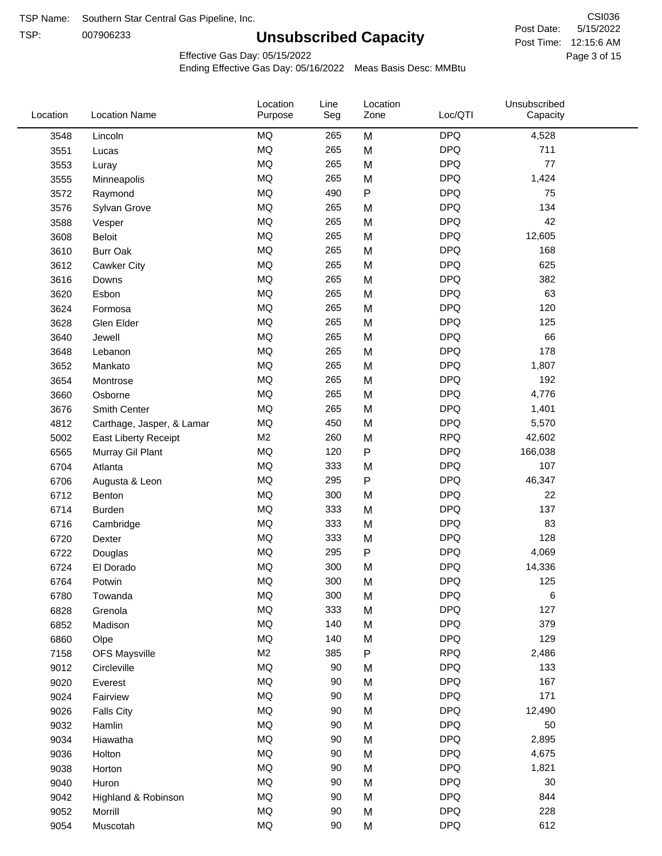TSP: 

# **Unsubscribed Capacity**

5/15/2022 Page 3 of 15 Post Time: 12:15:6 AM CSI036 Post Date:

Effective Gas Day: 05/15/2022

| Location | <b>Location Name</b>      | Location<br>Purpose | Line<br>Seg | Location<br>Zone | Loc/QTI    | Unsubscribed<br>Capacity |  |
|----------|---------------------------|---------------------|-------------|------------------|------------|--------------------------|--|
| 3548     | Lincoln                   | MQ                  | 265         | M                | <b>DPQ</b> | 4,528                    |  |
| 3551     | Lucas                     | MQ                  | 265         | M                | <b>DPQ</b> | 711                      |  |
| 3553     | Luray                     | MQ                  | 265         | M                | <b>DPQ</b> | 77                       |  |
| 3555     | Minneapolis               | <b>MQ</b>           | 265         | M                | <b>DPQ</b> | 1,424                    |  |
| 3572     | Raymond                   | <b>MQ</b>           | 490         | $\mathsf{P}$     | <b>DPQ</b> | 75                       |  |
| 3576     | Sylvan Grove              | <b>MQ</b>           | 265         | M                | <b>DPQ</b> | 134                      |  |
| 3588     | Vesper                    | MQ                  | 265         | M                | <b>DPQ</b> | 42                       |  |
| 3608     | Beloit                    | MQ                  | 265         | M                | <b>DPQ</b> | 12,605                   |  |
| 3610     | <b>Burr Oak</b>           | MQ                  | 265         | M                | <b>DPQ</b> | 168                      |  |
| 3612     | Cawker City               | MQ                  | 265         | M                | <b>DPQ</b> | 625                      |  |
| 3616     | Downs                     | MQ                  | 265         | M                | <b>DPQ</b> | 382                      |  |
| 3620     | Esbon                     | MQ                  | 265         | M                | <b>DPQ</b> | 63                       |  |
| 3624     | Formosa                   | MQ                  | 265         | M                | <b>DPQ</b> | 120                      |  |
| 3628     | Glen Elder                | <b>MQ</b>           | 265         | M                | <b>DPQ</b> | 125                      |  |
| 3640     | Jewell                    | MQ                  | 265         | M                | <b>DPQ</b> | 66                       |  |
| 3648     | Lebanon                   | MQ                  | 265         | M                | <b>DPQ</b> | 178                      |  |
| 3652     | Mankato                   | MQ                  | 265         | M                | <b>DPQ</b> | 1,807                    |  |
| 3654     | Montrose                  | <b>MQ</b>           | 265         | M                | <b>DPQ</b> | 192                      |  |
| 3660     | Osborne                   | <b>MQ</b>           | 265         | M                | <b>DPQ</b> | 4,776                    |  |
| 3676     | Smith Center              | MQ                  | 265         | M                | <b>DPQ</b> | 1,401                    |  |
| 4812     | Carthage, Jasper, & Lamar | MQ                  | 450         | M                | <b>DPQ</b> | 5,570                    |  |
| 5002     | East Liberty Receipt      | M <sub>2</sub>      | 260         | M                | <b>RPQ</b> | 42,602                   |  |
| 6565     | Murray Gil Plant          | MQ                  | 120         | P                | <b>DPQ</b> | 166,038                  |  |
| 6704     | Atlanta                   | MQ                  | 333         | M                | <b>DPQ</b> | 107                      |  |
| 6706     | Augusta & Leon            | MQ                  | 295         | P                | <b>DPQ</b> | 46,347                   |  |
| 6712     | Benton                    | MQ                  | 300         | M                | <b>DPQ</b> | 22                       |  |
| 6714     | Burden                    | <b>MQ</b>           | 333         | M                | <b>DPQ</b> | 137                      |  |
| 6716     | Cambridge                 | MQ                  | 333         | M                | <b>DPQ</b> | 83                       |  |
| 6720     | Dexter                    | MQ                  | 333         | M                | <b>DPQ</b> | 128                      |  |
| 6722     | Douglas                   | $\sf{MQ}$           | 295         | P                | <b>DPQ</b> | 4,069                    |  |
| 6724     | El Dorado                 | <b>MQ</b>           | 300         | M                | <b>DPQ</b> | 14,336                   |  |
| 6764     | Potwin                    | $\sf{MQ}$           | 300         | M                | <b>DPQ</b> | 125                      |  |
| 6780     | Towanda                   | MQ                  | 300         | M                | <b>DPQ</b> | 6                        |  |
| 6828     | Grenola                   | MQ                  | 333         | M                | <b>DPQ</b> | 127                      |  |
| 6852     | Madison                   | MQ                  | 140         | M                | <b>DPQ</b> | 379                      |  |
| 6860     | Olpe                      | MQ                  | 140         | M                | <b>DPQ</b> | 129                      |  |
| 7158     | <b>OFS Maysville</b>      | M <sub>2</sub>      | 385         | ${\sf P}$        | <b>RPQ</b> | 2,486                    |  |
| 9012     | Circleville               | MQ                  | 90          | M                | <b>DPQ</b> | 133                      |  |
| 9020     | Everest                   | $\sf{MQ}$           | 90          | M                | <b>DPQ</b> | 167                      |  |
| 9024     | Fairview                  | MQ                  | 90          | M                | <b>DPQ</b> | 171                      |  |
| 9026     | <b>Falls City</b>         | MQ                  | 90          | M                | <b>DPQ</b> | 12,490                   |  |
| 9032     | Hamlin                    | MQ                  | 90          | M                | <b>DPQ</b> | 50                       |  |
| 9034     | Hiawatha                  | MQ                  | 90          | M                | <b>DPQ</b> | 2,895                    |  |
| 9036     | Holton                    | MQ                  | 90          | M                | <b>DPQ</b> | 4,675                    |  |
| 9038     | Horton                    | MQ                  | 90          | M                | <b>DPQ</b> | 1,821                    |  |
| 9040     | Huron                     | MQ                  | 90          | M                | <b>DPQ</b> | 30                       |  |
| 9042     | Highland & Robinson       | MQ                  | 90          | M                | <b>DPQ</b> | 844                      |  |
| 9052     | Morrill                   | $\sf{MQ}$           | 90          | M                | <b>DPQ</b> | 228                      |  |
| 9054     | Muscotah                  | $\sf{MQ}$           | 90          | M                | <b>DPQ</b> | 612                      |  |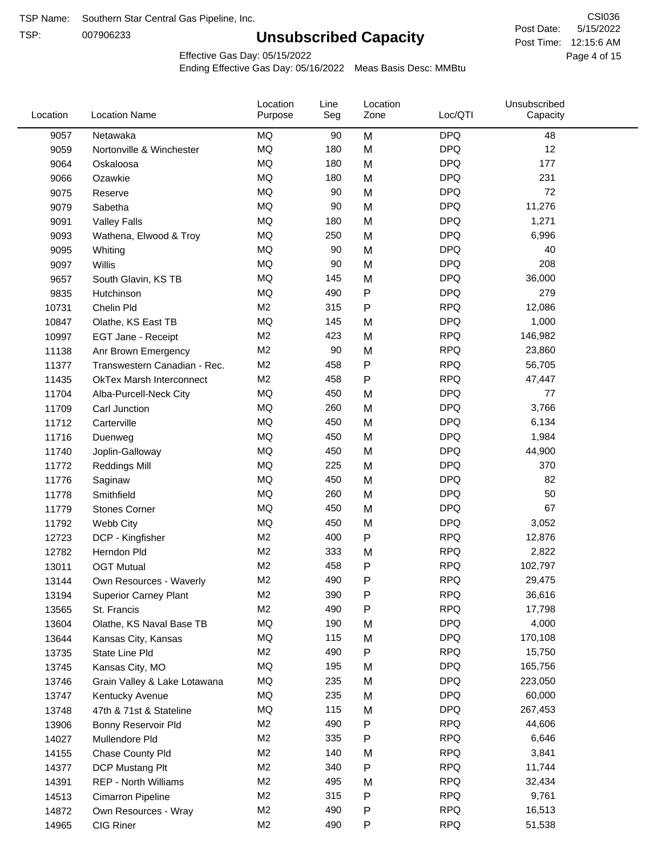TSP:

# **Unsubscribed Capacity**

5/15/2022 Page 4 of 15 Post Time: 12:15:6 AM CSI036 Post Date:

Effective Gas Day: 05/15/2022

| Location | <b>Location Name</b>            | Location<br>Purpose | Line<br>Seg | Location<br>Zone | Loc/QTI    | Unsubscribed<br>Capacity |  |
|----------|---------------------------------|---------------------|-------------|------------------|------------|--------------------------|--|
| 9057     | Netawaka                        | MQ                  | 90          | M                | <b>DPQ</b> | 48                       |  |
| 9059     | Nortonville & Winchester        | MQ                  | 180         | M                | <b>DPQ</b> | 12                       |  |
| 9064     | Oskaloosa                       | MQ                  | 180         | M                | <b>DPQ</b> | 177                      |  |
| 9066     | Ozawkie                         | <b>MQ</b>           | 180         | M                | <b>DPQ</b> | 231                      |  |
| 9075     | Reserve                         | <b>MQ</b>           | 90          | M                | <b>DPQ</b> | 72                       |  |
| 9079     | Sabetha                         | <b>MQ</b>           | 90          | M                | <b>DPQ</b> | 11,276                   |  |
| 9091     | <b>Valley Falls</b>             | <b>MQ</b>           | 180         | M                | <b>DPQ</b> | 1,271                    |  |
| 9093     | Wathena, Elwood & Troy          | <b>MQ</b>           | 250         | M                | <b>DPQ</b> | 6,996                    |  |
| 9095     | Whiting                         | MQ                  | 90          | M                | <b>DPQ</b> | 40                       |  |
| 9097     | Willis                          | <b>MQ</b>           | 90          | M                | <b>DPQ</b> | 208                      |  |
| 9657     | South Glavin, KS TB             | MQ                  | 145         | M                | <b>DPQ</b> | 36,000                   |  |
| 9835     | Hutchinson                      | MQ                  | 490         | ${\sf P}$        | <b>DPQ</b> | 279                      |  |
| 10731    | Chelin Pld                      | M <sub>2</sub>      | 315         | $\mathsf{P}$     | <b>RPQ</b> | 12,086                   |  |
| 10847    | Olathe, KS East TB              | <b>MQ</b>           | 145         | M                | <b>DPQ</b> | 1,000                    |  |
| 10997    | EGT Jane - Receipt              | M <sub>2</sub>      | 423         | M                | <b>RPQ</b> | 146,982                  |  |
| 11138    | Anr Brown Emergency             | M <sub>2</sub>      | 90          | M                | <b>RPQ</b> | 23,860                   |  |
| 11377    | Transwestern Canadian - Rec.    | M <sub>2</sub>      | 458         | $\mathsf{P}$     | <b>RPQ</b> | 56,705                   |  |
| 11435    | <b>OkTex Marsh Interconnect</b> | M <sub>2</sub>      | 458         | $\mathsf{P}$     | <b>RPQ</b> | 47,447                   |  |
| 11704    | Alba-Purcell-Neck City          | <b>MQ</b>           | 450         | M                | <b>DPQ</b> | 77                       |  |
| 11709    | Carl Junction                   | <b>MQ</b>           | 260         | M                | <b>DPQ</b> | 3,766                    |  |
| 11712    | Carterville                     | <b>MQ</b>           | 450         | M                | <b>DPQ</b> | 6,134                    |  |
| 11716    | Duenweg                         | <b>MQ</b>           | 450         | M                | <b>DPQ</b> | 1,984                    |  |
| 11740    | Joplin-Galloway                 | <b>MQ</b>           | 450         | M                | <b>DPQ</b> | 44,900                   |  |
| 11772    | <b>Reddings Mill</b>            | <b>MQ</b>           | 225         | M                | <b>DPQ</b> | 370                      |  |
| 11776    | Saginaw                         | <b>MQ</b>           | 450         | M                | <b>DPQ</b> | 82                       |  |
| 11778    | Smithfield                      | MQ                  | 260         | M                | <b>DPQ</b> | 50                       |  |
| 11779    | <b>Stones Corner</b>            | <b>MQ</b>           | 450         | M                | <b>DPQ</b> | 67                       |  |
| 11792    | Webb City                       | <b>MQ</b>           | 450         | M                | <b>DPQ</b> | 3,052                    |  |
| 12723    | DCP - Kingfisher                | M <sub>2</sub>      | 400         | $\sf P$          | <b>RPQ</b> | 12,876                   |  |
| 12782    | Herndon Pld                     | M <sub>2</sub>      | 333         | M                | <b>RPQ</b> | 2,822                    |  |
| 13011    | <b>OGT Mutual</b>               | M <sub>2</sub>      | 458         | P                | <b>RPQ</b> | 102,797                  |  |
| 13144    | Own Resources - Waverly         | M <sub>2</sub>      | 490         | P                | <b>RPQ</b> | 29,475                   |  |
| 13194    | <b>Superior Carney Plant</b>    | M <sub>2</sub>      | 390         | P                | <b>RPQ</b> | 36,616                   |  |
| 13565    | St. Francis                     | M <sub>2</sub>      | 490         | P                | <b>RPQ</b> | 17,798                   |  |
| 13604    | Olathe, KS Naval Base TB        | MQ                  | 190         | M                | <b>DPQ</b> | 4,000                    |  |
| 13644    | Kansas City, Kansas             | MQ                  | 115         | M                | <b>DPQ</b> | 170,108                  |  |
| 13735    | State Line Pld                  | M <sub>2</sub>      | 490         | P                | <b>RPQ</b> | 15,750                   |  |
| 13745    | Kansas City, MO                 | MQ                  | 195         | M                | <b>DPQ</b> | 165,756                  |  |
| 13746    | Grain Valley & Lake Lotawana    | MQ                  | 235         | M                | <b>DPQ</b> | 223,050                  |  |
| 13747    | Kentucky Avenue                 | MQ                  | 235         | M                | <b>DPQ</b> | 60,000                   |  |
| 13748    | 47th & 71st & Stateline         | MQ                  | 115         | M                | <b>DPQ</b> | 267,453                  |  |
| 13906    | Bonny Reservoir Pld             | M <sub>2</sub>      | 490         | P                | <b>RPQ</b> | 44,606                   |  |
| 14027    | Mullendore Pld                  | M <sub>2</sub>      | 335         | P                | <b>RPQ</b> | 6,646                    |  |
| 14155    | Chase County Pld                | M <sub>2</sub>      | 140         | M                | <b>RPQ</b> | 3,841                    |  |
| 14377    | DCP Mustang Plt                 | M <sub>2</sub>      | 340         | P                | <b>RPQ</b> | 11,744                   |  |
| 14391    | <b>REP - North Williams</b>     | M <sub>2</sub>      | 495         | M                | <b>RPQ</b> | 32,434                   |  |
| 14513    | Cimarron Pipeline               | M <sub>2</sub>      | 315         | ${\sf P}$        | <b>RPQ</b> | 9,761                    |  |
| 14872    | Own Resources - Wray            | M <sub>2</sub>      | 490         | P                | <b>RPQ</b> | 16,513                   |  |
| 14965    | CIG Riner                       | M <sub>2</sub>      | 490         | P                | <b>RPQ</b> | 51,538                   |  |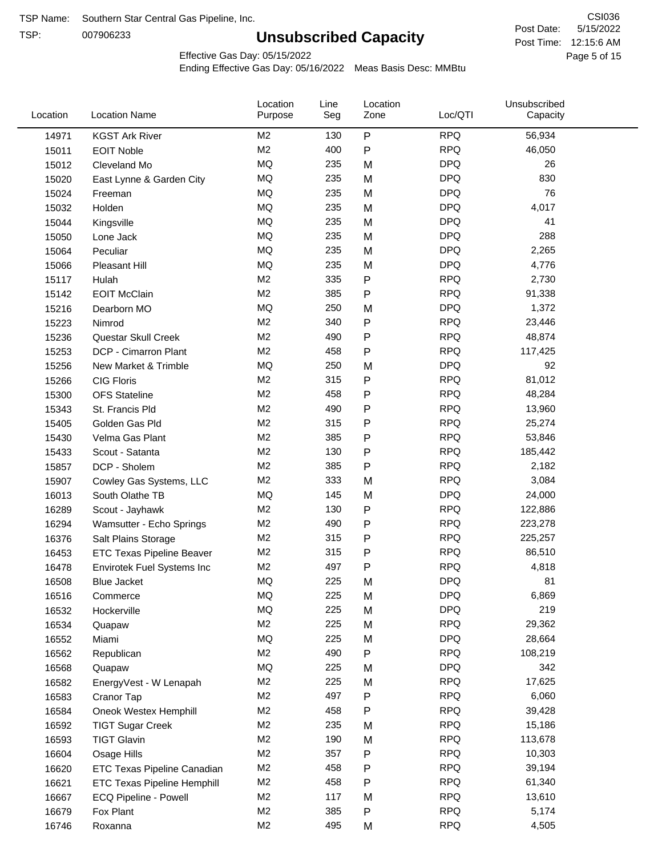TSP:

# **Unsubscribed Capacity**

5/15/2022 Page 5 of 15 Post Time: 12:15:6 AM CSI036 Post Date:

Effective Gas Day: 05/15/2022

| Location | <b>Location Name</b>               | Location<br>Purpose | Line<br>Seg | Location<br>Zone | Loc/QTI    | Unsubscribed<br>Capacity |  |
|----------|------------------------------------|---------------------|-------------|------------------|------------|--------------------------|--|
| 14971    | <b>KGST Ark River</b>              | M <sub>2</sub>      | 130         | P                | <b>RPQ</b> | 56,934                   |  |
| 15011    | <b>EOIT Noble</b>                  | M <sub>2</sub>      | 400         | P                | <b>RPQ</b> | 46,050                   |  |
| 15012    | Cleveland Mo                       | <b>MQ</b>           | 235         | M                | <b>DPQ</b> | 26                       |  |
| 15020    | East Lynne & Garden City           | MQ                  | 235         | M                | <b>DPQ</b> | 830                      |  |
| 15024    | Freeman                            | <b>MQ</b>           | 235         | M                | <b>DPQ</b> | 76                       |  |
| 15032    | Holden                             | MQ                  | 235         | M                | <b>DPQ</b> | 4,017                    |  |
| 15044    | Kingsville                         | <b>MQ</b>           | 235         | M                | <b>DPQ</b> | 41                       |  |
| 15050    | Lone Jack                          | MQ                  | 235         | M                | <b>DPQ</b> | 288                      |  |
| 15064    | Peculiar                           | <b>MQ</b>           | 235         | M                | <b>DPQ</b> | 2,265                    |  |
| 15066    | Pleasant Hill                      | <b>MQ</b>           | 235         | M                | <b>DPQ</b> | 4,776                    |  |
| 15117    | Hulah                              | M <sub>2</sub>      | 335         | ${\sf P}$        | <b>RPQ</b> | 2,730                    |  |
| 15142    | <b>EOIT McClain</b>                | M <sub>2</sub>      | 385         | P                | <b>RPQ</b> | 91,338                   |  |
| 15216    | Dearborn MO                        | MQ                  | 250         | M                | <b>DPQ</b> | 1,372                    |  |
| 15223    | Nimrod                             | M <sub>2</sub>      | 340         | ${\sf P}$        | <b>RPQ</b> | 23,446                   |  |
| 15236    | Questar Skull Creek                | M <sub>2</sub>      | 490         | P                | <b>RPQ</b> | 48,874                   |  |
| 15253    | DCP - Cimarron Plant               | M <sub>2</sub>      | 458         | P                | <b>RPQ</b> | 117,425                  |  |
| 15256    | New Market & Trimble               | <b>MQ</b>           | 250         | M                | <b>DPQ</b> | 92                       |  |
| 15266    | <b>CIG Floris</b>                  | M <sub>2</sub>      | 315         | P                | <b>RPQ</b> | 81,012                   |  |
| 15300    | <b>OFS Stateline</b>               | M <sub>2</sub>      | 458         | P                | <b>RPQ</b> | 48,284                   |  |
| 15343    | St. Francis Pld                    | M <sub>2</sub>      | 490         | P                | <b>RPQ</b> | 13,960                   |  |
| 15405    | Golden Gas Pld                     | M <sub>2</sub>      | 315         | P                | <b>RPQ</b> | 25,274                   |  |
| 15430    | Velma Gas Plant                    | M <sub>2</sub>      | 385         | P                | <b>RPQ</b> | 53,846                   |  |
| 15433    | Scout - Satanta                    | M <sub>2</sub>      | 130         | P                | <b>RPQ</b> | 185,442                  |  |
| 15857    | DCP - Sholem                       | M <sub>2</sub>      | 385         | P                | <b>RPQ</b> | 2,182                    |  |
| 15907    | Cowley Gas Systems, LLC            | M <sub>2</sub>      | 333         | M                | <b>RPQ</b> | 3,084                    |  |
| 16013    | South Olathe TB                    | MQ                  | 145         | M                | <b>DPQ</b> | 24,000                   |  |
| 16289    | Scout - Jayhawk                    | M <sub>2</sub>      | 130         | ${\sf P}$        | <b>RPQ</b> | 122,886                  |  |
| 16294    | Wamsutter - Echo Springs           | M <sub>2</sub>      | 490         | P                | <b>RPQ</b> | 223,278                  |  |
| 16376    | Salt Plains Storage                | M <sub>2</sub>      | 315         | P                | <b>RPQ</b> | 225,257                  |  |
| 16453    | <b>ETC Texas Pipeline Beaver</b>   | M <sub>2</sub>      | 315         | P                | <b>RPQ</b> | 86,510                   |  |
| 16478    | Envirotek Fuel Systems Inc         | M <sub>2</sub>      | 497         | P                | <b>RPQ</b> | 4,818                    |  |
| 16508    | Blue Jacket                        | <b>MQ</b>           | 225         | M                | <b>DPQ</b> | 81                       |  |
| 16516    | Commerce                           | MQ                  | 225         | M                | <b>DPQ</b> | 6,869                    |  |
| 16532    | Hockerville                        | <b>MQ</b>           | 225         | M                | <b>DPQ</b> | 219                      |  |
| 16534    | Quapaw                             | M <sub>2</sub>      | 225         | M                | <b>RPQ</b> | 29,362                   |  |
| 16552    | Miami                              | MQ                  | 225         | M                | <b>DPQ</b> | 28,664                   |  |
| 16562    | Republican                         | M <sub>2</sub>      | 490         | P                | <b>RPQ</b> | 108,219                  |  |
| 16568    | Quapaw                             | <b>MQ</b>           | 225         | M                | <b>DPQ</b> | 342                      |  |
| 16582    | EnergyVest - W Lenapah             | M <sub>2</sub>      | 225         | M                | <b>RPQ</b> | 17,625                   |  |
| 16583    | Cranor Tap                         | M <sub>2</sub>      | 497         | P                | <b>RPQ</b> | 6,060                    |  |
| 16584    | Oneok Westex Hemphill              | M <sub>2</sub>      | 458         | P                | <b>RPQ</b> | 39,428                   |  |
| 16592    | <b>TIGT Sugar Creek</b>            | M <sub>2</sub>      | 235         | M                | <b>RPQ</b> | 15,186                   |  |
| 16593    | <b>TIGT Glavin</b>                 | M <sub>2</sub>      | 190         | M                | <b>RPQ</b> | 113,678                  |  |
| 16604    | Osage Hills                        | M <sub>2</sub>      | 357         | Ρ                | <b>RPQ</b> | 10,303                   |  |
| 16620    | <b>ETC Texas Pipeline Canadian</b> | M <sub>2</sub>      | 458         | Ρ                | <b>RPQ</b> | 39,194                   |  |
| 16621    | <b>ETC Texas Pipeline Hemphill</b> | M <sub>2</sub>      | 458         | P                | <b>RPQ</b> | 61,340                   |  |
| 16667    | ECQ Pipeline - Powell              | M <sub>2</sub>      | 117         | M                | <b>RPQ</b> | 13,610                   |  |
| 16679    | Fox Plant                          | M <sub>2</sub>      | 385         | P                | <b>RPQ</b> | 5,174                    |  |
| 16746    | Roxanna                            | M <sub>2</sub>      | 495         | M                | <b>RPQ</b> | 4,505                    |  |
|          |                                    |                     |             |                  |            |                          |  |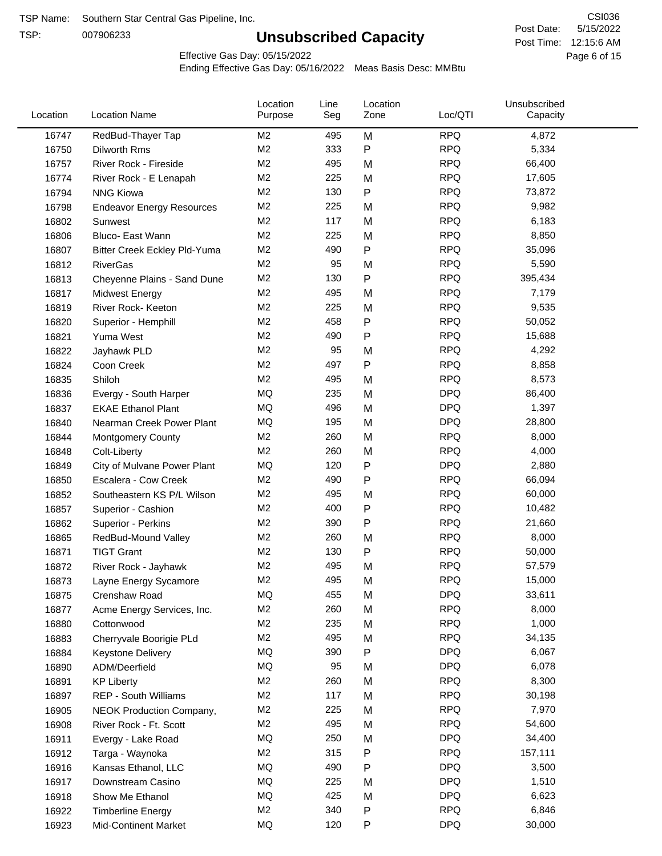TSP:

# **Unsubscribed Capacity**

5/15/2022 Page 6 of 15 Post Time: 12:15:6 AM CSI036 Post Date:

Effective Gas Day: 05/15/2022

| Location | <b>Location Name</b>             | Location<br>Purpose | Line<br>Seg | Location<br>Zone | Loc/QTI    | Unsubscribed<br>Capacity |
|----------|----------------------------------|---------------------|-------------|------------------|------------|--------------------------|
| 16747    | RedBud-Thayer Tap                | M <sub>2</sub>      | 495         | M                | <b>RPQ</b> | 4,872                    |
| 16750    | Dilworth Rms                     | M <sub>2</sub>      | 333         | $\mathsf{P}$     | <b>RPQ</b> | 5,334                    |
| 16757    | River Rock - Fireside            | M <sub>2</sub>      | 495         | M                | <b>RPQ</b> | 66,400                   |
| 16774    | River Rock - E Lenapah           | M <sub>2</sub>      | 225         | M                | <b>RPQ</b> | 17,605                   |
| 16794    | <b>NNG Kiowa</b>                 | M <sub>2</sub>      | 130         | $\mathsf{P}$     | <b>RPQ</b> | 73,872                   |
| 16798    | <b>Endeavor Energy Resources</b> | M <sub>2</sub>      | 225         | M                | <b>RPQ</b> | 9,982                    |
| 16802    | Sunwest                          | M <sub>2</sub>      | 117         | M                | <b>RPQ</b> | 6,183                    |
| 16806    | Bluco- East Wann                 | M <sub>2</sub>      | 225         | M                | <b>RPQ</b> | 8,850                    |
| 16807    | Bitter Creek Eckley Pld-Yuma     | M <sub>2</sub>      | 490         | $\mathsf{P}$     | <b>RPQ</b> | 35,096                   |
| 16812    | <b>RiverGas</b>                  | M <sub>2</sub>      | 95          | M                | <b>RPQ</b> | 5,590                    |
| 16813    | Cheyenne Plains - Sand Dune      | M <sub>2</sub>      | 130         | $\mathsf{P}$     | <b>RPQ</b> | 395,434                  |
| 16817    | <b>Midwest Energy</b>            | M <sub>2</sub>      | 495         | M                | <b>RPQ</b> | 7,179                    |
| 16819    | River Rock- Keeton               | M <sub>2</sub>      | 225         | M                | <b>RPQ</b> | 9,535                    |
| 16820    | Superior - Hemphill              | M <sub>2</sub>      | 458         | $\mathsf{P}$     | <b>RPQ</b> | 50,052                   |
| 16821    | Yuma West                        | M <sub>2</sub>      | 490         | $\mathsf{P}$     | <b>RPQ</b> | 15,688                   |
| 16822    | Jayhawk PLD                      | M <sub>2</sub>      | 95          | M                | <b>RPQ</b> | 4,292                    |
| 16824    | Coon Creek                       | M <sub>2</sub>      | 497         | $\mathsf{P}$     | <b>RPQ</b> | 8,858                    |
| 16835    | Shiloh                           | M <sub>2</sub>      | 495         | M                | <b>RPQ</b> | 8,573                    |
| 16836    | Evergy - South Harper            | MQ                  | 235         | M                | <b>DPQ</b> | 86,400                   |
| 16837    | <b>EKAE Ethanol Plant</b>        | MQ                  | 496         | M                | <b>DPQ</b> | 1,397                    |
| 16840    | Nearman Creek Power Plant        | <b>MQ</b>           | 195         | M                | <b>DPQ</b> | 28,800                   |
| 16844    | <b>Montgomery County</b>         | M <sub>2</sub>      | 260         | M                | <b>RPQ</b> | 8,000                    |
| 16848    | Colt-Liberty                     | M <sub>2</sub>      | 260         | M                | <b>RPQ</b> | 4,000                    |
| 16849    | City of Mulvane Power Plant      | MQ                  | 120         | $\mathsf{P}$     | <b>DPQ</b> | 2,880                    |
| 16850    | Escalera - Cow Creek             | M <sub>2</sub>      | 490         | $\mathsf{P}$     | <b>RPQ</b> | 66,094                   |
| 16852    | Southeastern KS P/L Wilson       | M <sub>2</sub>      | 495         | M                | <b>RPQ</b> | 60,000                   |
| 16857    | Superior - Cashion               | M <sub>2</sub>      | 400         | $\mathsf{P}$     | <b>RPQ</b> | 10,482                   |
| 16862    | Superior - Perkins               | M <sub>2</sub>      | 390         | $\mathsf{P}$     | <b>RPQ</b> | 21,660                   |
| 16865    | RedBud-Mound Valley              | M <sub>2</sub>      | 260         | M                | <b>RPQ</b> | 8,000                    |
| 16871    | <b>TIGT Grant</b>                | M <sub>2</sub>      | 130         | Ρ                | <b>RPQ</b> | 50,000                   |
| 16872    | River Rock - Jayhawk             | M <sub>2</sub>      | 495         | M                | <b>RPQ</b> | 57,579                   |
| 16873    | Layne Energy Sycamore            | M <sub>2</sub>      | 495         | M                | <b>RPQ</b> | 15,000                   |
| 16875    | Crenshaw Road                    | MQ                  | 455         | M                | <b>DPQ</b> | 33,611                   |
| 16877    | Acme Energy Services, Inc.       | M <sub>2</sub>      | 260         | M                | <b>RPQ</b> | 8,000                    |
| 16880    | Cottonwood                       | M <sub>2</sub>      | 235         | M                | <b>RPQ</b> | 1,000                    |
| 16883    | Cherryvale Boorigie PLd          | M <sub>2</sub>      | 495         | M                | <b>RPQ</b> | 34,135                   |
| 16884    | <b>Keystone Delivery</b>         | <b>MQ</b>           | 390         | P                | <b>DPQ</b> | 6,067                    |
| 16890    | ADM/Deerfield                    | MQ                  | 95          | M                | <b>DPQ</b> | 6,078                    |
| 16891    | <b>KP Liberty</b>                | M <sub>2</sub>      | 260         | M                | <b>RPQ</b> | 8,300                    |
| 16897    | REP - South Williams             | M <sub>2</sub>      | 117         | M                | <b>RPQ</b> | 30,198                   |
| 16905    | NEOK Production Company,         | M <sub>2</sub>      | 225         | M                | <b>RPQ</b> | 7,970                    |
| 16908    | River Rock - Ft. Scott           | M <sub>2</sub>      | 495         | M                | <b>RPQ</b> | 54,600                   |
| 16911    | Evergy - Lake Road               | MQ                  | 250         | M                | <b>DPQ</b> | 34,400                   |
| 16912    | Targa - Waynoka                  | M <sub>2</sub>      | 315         | Ρ                | <b>RPQ</b> | 157,111                  |
| 16916    | Kansas Ethanol, LLC              | MQ                  | 490         | P                | <b>DPQ</b> | 3,500                    |
| 16917    | Downstream Casino                | MQ                  | 225         | M                | <b>DPQ</b> | 1,510                    |
| 16918    | Show Me Ethanol                  | MQ                  | 425         | M                | <b>DPQ</b> | 6,623                    |
| 16922    | <b>Timberline Energy</b>         | M <sub>2</sub>      | 340         | Ρ                | <b>RPQ</b> | 6,846                    |
| 16923    | <b>Mid-Continent Market</b>      | MQ                  | 120         | P                | <b>DPQ</b> | 30,000                   |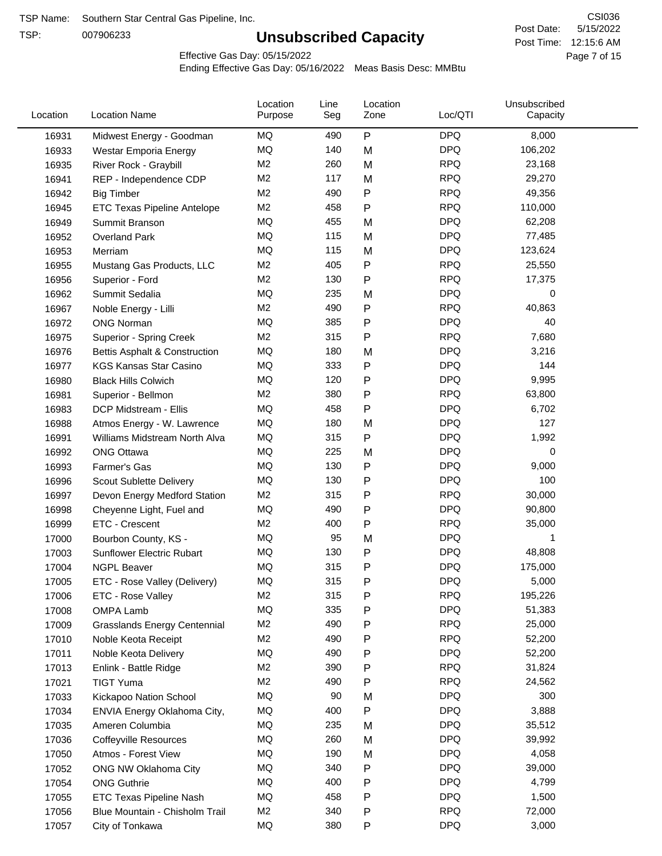TSP:

# **Unsubscribed Capacity**

5/15/2022 Page 7 of 15 Post Time: 12:15:6 AM CSI036 Post Date:

Effective Gas Day: 05/15/2022

| Location | <b>Location Name</b>                | Location<br>Purpose | Line<br>Seg | Location<br>Zone | Loc/QTI    | Unsubscribed<br>Capacity |  |
|----------|-------------------------------------|---------------------|-------------|------------------|------------|--------------------------|--|
| 16931    | Midwest Energy - Goodman            | MQ                  | 490         | P                | <b>DPQ</b> | 8,000                    |  |
| 16933    | Westar Emporia Energy               | <b>MQ</b>           | 140         | M                | <b>DPQ</b> | 106,202                  |  |
| 16935    | River Rock - Graybill               | M <sub>2</sub>      | 260         | M                | <b>RPQ</b> | 23,168                   |  |
| 16941    | REP - Independence CDP              | M <sub>2</sub>      | 117         | M                | <b>RPQ</b> | 29,270                   |  |
| 16942    | <b>Big Timber</b>                   | M <sub>2</sub>      | 490         | P                | <b>RPQ</b> | 49,356                   |  |
| 16945    | <b>ETC Texas Pipeline Antelope</b>  | M <sub>2</sub>      | 458         | $\mathsf{P}$     | <b>RPQ</b> | 110,000                  |  |
| 16949    | Summit Branson                      | MQ                  | 455         | M                | <b>DPQ</b> | 62,208                   |  |
| 16952    | <b>Overland Park</b>                | MQ                  | 115         | M                | <b>DPQ</b> | 77,485                   |  |
| 16953    | Merriam                             | MQ                  | 115         | M                | <b>DPQ</b> | 123,624                  |  |
| 16955    | Mustang Gas Products, LLC           | M <sub>2</sub>      | 405         | P                | <b>RPQ</b> | 25,550                   |  |
| 16956    | Superior - Ford                     | M <sub>2</sub>      | 130         | $\mathsf{P}$     | <b>RPQ</b> | 17,375                   |  |
| 16962    | Summit Sedalia                      | <b>MQ</b>           | 235         | M                | <b>DPQ</b> | 0                        |  |
| 16967    | Noble Energy - Lilli                | M <sub>2</sub>      | 490         | P                | <b>RPQ</b> | 40,863                   |  |
| 16972    | <b>ONG Norman</b>                   | MQ                  | 385         | $\mathsf{P}$     | <b>DPQ</b> | 40                       |  |
| 16975    | <b>Superior - Spring Creek</b>      | M <sub>2</sub>      | 315         | $\mathsf{P}$     | <b>RPQ</b> | 7,680                    |  |
| 16976    | Bettis Asphalt & Construction       | MQ                  | 180         | M                | <b>DPQ</b> | 3,216                    |  |
| 16977    | <b>KGS Kansas Star Casino</b>       | MQ                  | 333         | P                | <b>DPQ</b> | 144                      |  |
| 16980    | <b>Black Hills Colwich</b>          | MQ                  | 120         | P                | <b>DPQ</b> | 9,995                    |  |
| 16981    | Superior - Bellmon                  | M <sub>2</sub>      | 380         | P                | <b>RPQ</b> | 63,800                   |  |
| 16983    | DCP Midstream - Ellis               | MQ                  | 458         | P                | <b>DPQ</b> | 6,702                    |  |
| 16988    | Atmos Energy - W. Lawrence          | MQ                  | 180         | M                | <b>DPQ</b> | 127                      |  |
| 16991    | Williams Midstream North Alva       | MQ                  | 315         | $\mathsf{P}$     | <b>DPQ</b> | 1,992                    |  |
| 16992    | <b>ONG Ottawa</b>                   | MQ                  | 225         | M                | <b>DPQ</b> | 0                        |  |
| 16993    | Farmer's Gas                        | MQ                  | 130         | P                | <b>DPQ</b> | 9,000                    |  |
| 16996    | Scout Sublette Delivery             | MQ                  | 130         | P                | <b>DPQ</b> | 100                      |  |
| 16997    | Devon Energy Medford Station        | M <sub>2</sub>      | 315         | P                | <b>RPQ</b> | 30,000                   |  |
| 16998    | Cheyenne Light, Fuel and            | MQ                  | 490         | P                | <b>DPQ</b> | 90,800                   |  |
| 16999    | ETC - Crescent                      | M <sub>2</sub>      | 400         | P                | <b>RPQ</b> | 35,000                   |  |
| 17000    | Bourbon County, KS -                | MQ                  | 95          | M                | <b>DPQ</b> |                          |  |
| 17003    | Sunflower Electric Rubart           | MQ                  | 130         | P                | <b>DPQ</b> | 48,808                   |  |
| 17004    | <b>NGPL Beaver</b>                  | MQ                  | 315         | P                | <b>DPQ</b> | 175,000                  |  |
| 17005    | ETC - Rose Valley (Delivery)        | <b>MQ</b>           | 315         | P                | <b>DPQ</b> | 5,000                    |  |
| 17006    | ETC - Rose Valley                   | M <sub>2</sub>      | 315         | P                | <b>RPQ</b> | 195,226                  |  |
| 17008    | <b>OMPA Lamb</b>                    | <b>MQ</b>           | 335         | P                | <b>DPQ</b> | 51,383                   |  |
| 17009    | <b>Grasslands Energy Centennial</b> | M <sub>2</sub>      | 490         | P                | <b>RPQ</b> | 25,000                   |  |
| 17010    | Noble Keota Receipt                 | M <sub>2</sub>      | 490         | P                | <b>RPQ</b> | 52,200                   |  |
| 17011    | Noble Keota Delivery                | MQ                  | 490         | $\mathsf{P}$     | <b>DPQ</b> | 52,200                   |  |
| 17013    | Enlink - Battle Ridge               | M <sub>2</sub>      | 390         | $\mathsf{P}$     | <b>RPQ</b> | 31,824                   |  |
| 17021    | <b>TIGT Yuma</b>                    | M <sub>2</sub>      | 490         | P                | <b>RPQ</b> | 24,562                   |  |
| 17033    | Kickapoo Nation School              | MQ                  | 90          | M                | <b>DPQ</b> | 300                      |  |
| 17034    | ENVIA Energy Oklahoma City,         | MQ                  | 400         | P                | <b>DPQ</b> | 3,888                    |  |
| 17035    | Ameren Columbia                     | MQ                  | 235         | M                | <b>DPQ</b> | 35,512                   |  |
| 17036    | <b>Coffeyville Resources</b>        | MQ                  | 260         | M                | <b>DPQ</b> | 39,992                   |  |
| 17050    | Atmos - Forest View                 | MQ                  | 190         | M                | <b>DPQ</b> | 4,058                    |  |
| 17052    | ONG NW Oklahoma City                | MQ                  | 340         | P                | <b>DPQ</b> | 39,000                   |  |
| 17054    | <b>ONG Guthrie</b>                  | MQ                  | 400         | P                | <b>DPQ</b> | 4,799                    |  |
| 17055    | ETC Texas Pipeline Nash             | MQ                  | 458         | P                | <b>DPQ</b> | 1,500                    |  |
| 17056    | Blue Mountain - Chisholm Trail      | M <sub>2</sub>      | 340         | P                | <b>RPQ</b> | 72,000                   |  |
| 17057    | City of Tonkawa                     | MQ                  | 380         | ${\sf P}$        | <b>DPQ</b> | 3,000                    |  |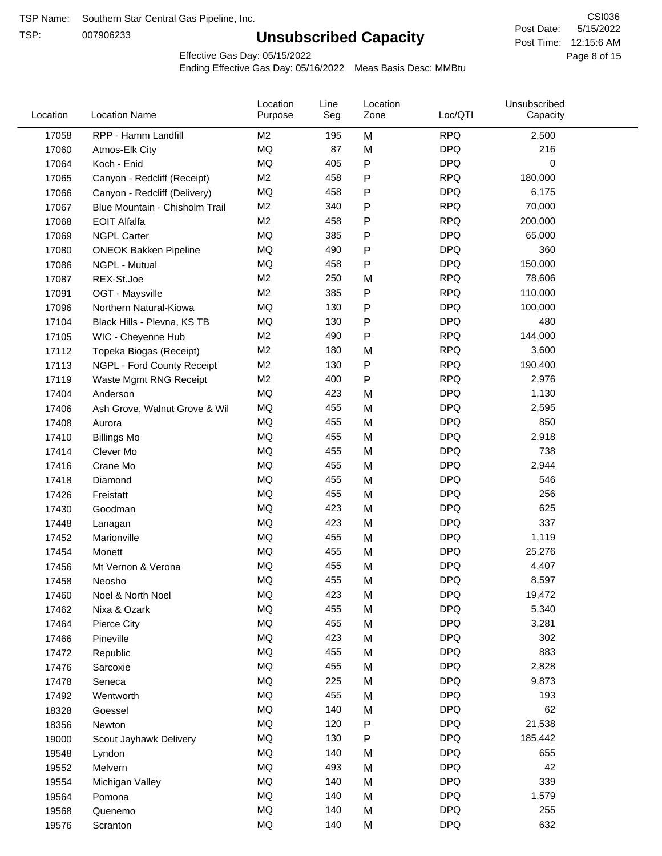TSP:

# **Unsubscribed Capacity**

5/15/2022 Page 8 of 15 Post Time: 12:15:6 AM CSI036 Post Date:

Effective Gas Day: 05/15/2022

| Location | <b>Location Name</b>           | Location<br>Purpose | Line<br>Seg | Location<br>Zone | Loc/QTI    | Unsubscribed<br>Capacity |  |
|----------|--------------------------------|---------------------|-------------|------------------|------------|--------------------------|--|
| 17058    | RPP - Hamm Landfill            | M2                  | 195         | M                | <b>RPQ</b> | 2,500                    |  |
| 17060    | Atmos-Elk City                 | MQ                  | 87          | M                | <b>DPQ</b> | 216                      |  |
| 17064    | Koch - Enid                    | MQ                  | 405         | P                | <b>DPQ</b> | 0                        |  |
| 17065    | Canyon - Redcliff (Receipt)    | M <sub>2</sub>      | 458         | P                | <b>RPQ</b> | 180,000                  |  |
| 17066    | Canyon - Redcliff (Delivery)   | MQ                  | 458         | P                | <b>DPQ</b> | 6,175                    |  |
| 17067    | Blue Mountain - Chisholm Trail | M <sub>2</sub>      | 340         | P                | <b>RPQ</b> | 70,000                   |  |
| 17068    | <b>EOIT Alfalfa</b>            | M <sub>2</sub>      | 458         | Ρ                | <b>RPQ</b> | 200,000                  |  |
| 17069    | <b>NGPL Carter</b>             | MQ                  | 385         | P                | <b>DPQ</b> | 65,000                   |  |
| 17080    | <b>ONEOK Bakken Pipeline</b>   | MQ                  | 490         | P                | <b>DPQ</b> | 360                      |  |
| 17086    | NGPL - Mutual                  | <b>MQ</b>           | 458         | P                | <b>DPQ</b> | 150,000                  |  |
| 17087    | REX-St.Joe                     | M <sub>2</sub>      | 250         | M                | <b>RPQ</b> | 78,606                   |  |
| 17091    | OGT - Maysville                | M <sub>2</sub>      | 385         | P                | <b>RPQ</b> | 110,000                  |  |
| 17096    | Northern Natural-Kiowa         | MQ                  | 130         | P                | <b>DPQ</b> | 100,000                  |  |
| 17104    | Black Hills - Plevna, KS TB    | MQ                  | 130         | Ρ                | <b>DPQ</b> | 480                      |  |
| 17105    | WIC - Cheyenne Hub             | M <sub>2</sub>      | 490         | P                | <b>RPQ</b> | 144,000                  |  |
| 17112    | Topeka Biogas (Receipt)        | M <sub>2</sub>      | 180         | M                | <b>RPQ</b> | 3,600                    |  |
| 17113    | NGPL - Ford County Receipt     | M <sub>2</sub>      | 130         | P                | <b>RPQ</b> | 190,400                  |  |
| 17119    | Waste Mgmt RNG Receipt         | M2                  | 400         | P                | <b>RPQ</b> | 2,976                    |  |
| 17404    | Anderson                       | MQ                  | 423         | M                | <b>DPQ</b> | 1,130                    |  |
| 17406    | Ash Grove, Walnut Grove & Wil  | MQ                  | 455         | M                | <b>DPQ</b> | 2,595                    |  |
| 17408    | Aurora                         | MQ                  | 455         | M                | <b>DPQ</b> | 850                      |  |
| 17410    | <b>Billings Mo</b>             | <b>MQ</b>           | 455         | M                | <b>DPQ</b> | 2,918                    |  |
| 17414    | Clever Mo                      | <b>MQ</b>           | 455         | M                | <b>DPQ</b> | 738                      |  |
| 17416    | Crane Mo                       | <b>MQ</b>           | 455         | M                | <b>DPQ</b> | 2,944                    |  |
| 17418    | Diamond                        | <b>MQ</b>           | 455         | M                | <b>DPQ</b> | 546                      |  |
| 17426    | Freistatt                      | MQ                  | 455         | M                | <b>DPQ</b> | 256                      |  |
| 17430    | Goodman                        | <b>MQ</b>           | 423         | M                | <b>DPQ</b> | 625                      |  |
| 17448    | Lanagan                        | <b>MQ</b>           | 423         | M                | <b>DPQ</b> | 337                      |  |
| 17452    | Marionville                    | <b>MQ</b>           | 455         | M                | <b>DPQ</b> | 1,119                    |  |
| 17454    | Monett                         | MQ                  | 455         | M                | <b>DPQ</b> | 25,276                   |  |
| 17456    | Mt Vernon & Verona             | <b>MQ</b>           | 455         | M                | <b>DPQ</b> | 4,407                    |  |
| 17458    | Neosho                         | MQ                  | 455         | M                | <b>DPQ</b> | 8,597                    |  |
| 17460    | Noel & North Noel              | MQ                  | 423         | M                | <b>DPQ</b> | 19,472                   |  |
| 17462    | Nixa & Ozark                   | $\sf{MQ}$           | 455         | M                | <b>DPQ</b> | 5,340                    |  |
| 17464    | Pierce City                    | MQ                  | 455         | M                | <b>DPQ</b> | 3,281                    |  |
| 17466    | Pineville                      | MQ                  | 423         | M                | <b>DPQ</b> | 302                      |  |
| 17472    | Republic                       | MQ                  | 455         | M                | <b>DPQ</b> | 883                      |  |
| 17476    | Sarcoxie                       | MQ                  | 455         | M                | <b>DPQ</b> | 2,828                    |  |
| 17478    | Seneca                         | MQ                  | 225         | M                | <b>DPQ</b> | 9,873                    |  |
| 17492    | Wentworth                      | MQ                  | 455         | M                | <b>DPQ</b> | 193                      |  |
| 18328    | Goessel                        | MQ                  | 140         | M                | <b>DPQ</b> | 62                       |  |
| 18356    | Newton                         | MQ                  | 120         | P                | <b>DPQ</b> | 21,538                   |  |
| 19000    | Scout Jayhawk Delivery         | $\sf{MQ}$           | 130         | P                | <b>DPQ</b> | 185,442                  |  |
| 19548    | Lyndon                         | MQ                  | 140         | M                | <b>DPQ</b> | 655                      |  |
| 19552    | Melvern                        | MQ                  | 493         | M                | <b>DPQ</b> | 42                       |  |
| 19554    | Michigan Valley                | MQ                  | 140         | M                | <b>DPQ</b> | 339                      |  |
| 19564    | Pomona                         | MQ                  | 140         | M                | <b>DPQ</b> | 1,579                    |  |
| 19568    | Quenemo                        | MQ                  | 140         | M                | <b>DPQ</b> | 255                      |  |
| 19576    | Scranton                       | MQ                  | 140         | M                | <b>DPQ</b> | 632                      |  |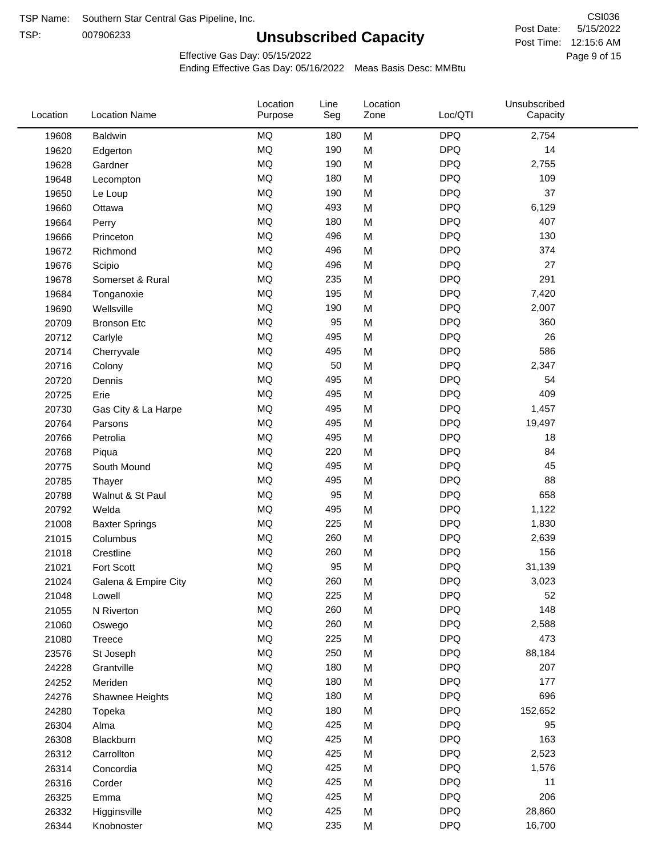TSP:

# **Unsubscribed Capacity**

5/15/2022 Page 9 of 15 Post Time: 12:15:6 AM CSI036 Post Date:

Effective Gas Day: 05/15/2022

| Location | <b>Location Name</b>  | Location<br>Purpose | Line<br>Seg | Location<br>Zone | Loc/QTI    | Unsubscribed<br>Capacity |
|----------|-----------------------|---------------------|-------------|------------------|------------|--------------------------|
| 19608    | Baldwin               | <b>MQ</b>           | 180         | M                | <b>DPQ</b> | 2,754                    |
| 19620    | Edgerton              | MQ                  | 190         | M                | <b>DPQ</b> | 14                       |
| 19628    | Gardner               | MQ                  | 190         | M                | <b>DPQ</b> | 2,755                    |
| 19648    | Lecompton             | <b>MQ</b>           | 180         | M                | <b>DPQ</b> | 109                      |
| 19650    | Le Loup               | <b>MQ</b>           | 190         | M                | <b>DPQ</b> | 37                       |
| 19660    | Ottawa                | <b>MQ</b>           | 493         | M                | <b>DPQ</b> | 6,129                    |
| 19664    | Perry                 | <b>MQ</b>           | 180         | M                | <b>DPQ</b> | 407                      |
| 19666    | Princeton             | MQ                  | 496         | M                | <b>DPQ</b> | 130                      |
| 19672    | Richmond              | <b>MQ</b>           | 496         | M                | <b>DPQ</b> | 374                      |
| 19676    | Scipio                | <b>MQ</b>           | 496         | M                | <b>DPQ</b> | 27                       |
| 19678    | Somerset & Rural      | MQ                  | 235         | M                | <b>DPQ</b> | 291                      |
| 19684    | Tonganoxie            | MQ                  | 195         | M                | <b>DPQ</b> | 7,420                    |
| 19690    | Wellsville            | MQ                  | 190         | M                | <b>DPQ</b> | 2,007                    |
| 20709    | <b>Bronson Etc</b>    | MQ                  | 95          | M                | <b>DPQ</b> | 360                      |
| 20712    | Carlyle               | <b>MQ</b>           | 495         | M                | <b>DPQ</b> | 26                       |
| 20714    | Cherryvale            | <b>MQ</b>           | 495         | M                | <b>DPQ</b> | 586                      |
| 20716    | Colony                | MQ                  | 50          | M                | <b>DPQ</b> | 2,347                    |
| 20720    | Dennis                | MQ                  | 495         | M                | <b>DPQ</b> | 54                       |
| 20725    | Erie                  | MQ                  | 495         | M                | <b>DPQ</b> | 409                      |
| 20730    | Gas City & La Harpe   | MQ                  | 495         | M                | <b>DPQ</b> | 1,457                    |
| 20764    | Parsons               | MQ                  | 495         | M                | <b>DPQ</b> | 19,497                   |
| 20766    | Petrolia              | MQ                  | 495         | M                | <b>DPQ</b> | 18                       |
| 20768    | Piqua                 | MQ                  | 220         | M                | <b>DPQ</b> | 84                       |
| 20775    | South Mound           | <b>MQ</b>           | 495         | M                | <b>DPQ</b> | 45                       |
| 20785    | Thayer                | <b>MQ</b>           | 495         | M                | <b>DPQ</b> | 88                       |
| 20788    | Walnut & St Paul      | MQ                  | 95          | M                | <b>DPQ</b> | 658                      |
| 20792    | Welda                 | <b>MQ</b>           | 495         | M                | <b>DPQ</b> | 1,122                    |
| 21008    | <b>Baxter Springs</b> | MQ                  | 225         | M                | <b>DPQ</b> | 1,830                    |
| 21015    | Columbus              | MQ                  | 260         | M                | <b>DPQ</b> | 2,639                    |
| 21018    | Crestline             | MQ                  | 260         | M                | <b>DPQ</b> | 156                      |
| 21021    | Fort Scott            | <b>MQ</b>           | 95          | M                | <b>DPQ</b> | 31,139                   |
| 21024    | Galena & Empire City  | <b>MQ</b>           | 260         | M                | <b>DPQ</b> | 3,023                    |
| 21048    | Lowell                | MQ                  | 225         | M                | <b>DPQ</b> | 52                       |
| 21055    | N Riverton            | MQ                  | 260         | M                | <b>DPQ</b> | 148                      |
| 21060    | Oswego                | MQ                  | 260         | M                | <b>DPQ</b> | 2,588                    |
| 21080    | <b>Treece</b>         | MQ                  | 225         | M                | <b>DPQ</b> | 473                      |
| 23576    | St Joseph             | MQ                  | 250         | M                | <b>DPQ</b> | 88,184                   |
| 24228    | Grantville            | MQ                  | 180         | M                | <b>DPQ</b> | 207                      |
| 24252    | Meriden               | MQ                  | 180         | M                | <b>DPQ</b> | 177                      |
| 24276    | Shawnee Heights       | MQ                  | 180         | M                | <b>DPQ</b> | 696                      |
| 24280    | Topeka                | MQ                  | 180         | M                | <b>DPQ</b> | 152,652                  |
| 26304    | Alma                  | MQ                  | 425         | M                | <b>DPQ</b> | 95                       |
| 26308    | Blackburn             | MQ                  | 425         | M                | <b>DPQ</b> | 163                      |
| 26312    | Carrollton            | MQ                  | 425         | M                | <b>DPQ</b> | 2,523                    |
| 26314    | Concordia             | MQ                  | 425         | M                | <b>DPQ</b> | 1,576                    |
| 26316    | Corder                | MQ                  | 425         | M                | <b>DPQ</b> | 11                       |
| 26325    | Emma                  | MQ                  | 425         | M                | <b>DPQ</b> | 206                      |
| 26332    | Higginsville          | MQ                  | 425         | M                | <b>DPQ</b> | 28,860                   |
| 26344    | Knobnoster            | MQ                  | 235         | M                | <b>DPQ</b> | 16,700                   |
|          |                       |                     |             |                  |            |                          |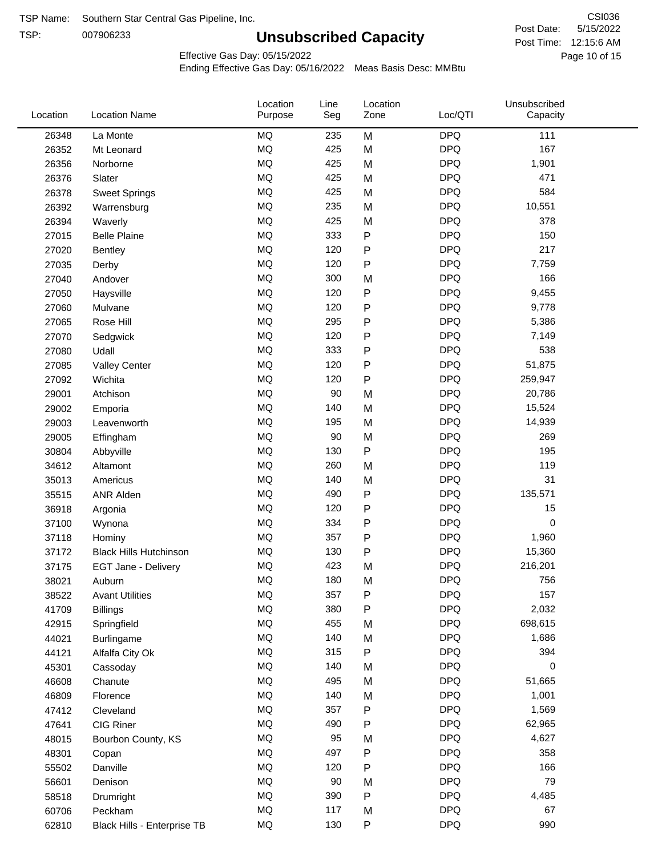TSP:

# **Unsubscribed Capacity**

5/15/2022 Page 10 of 15 Post Time: 12:15:6 AM CSI036 Post Date:

Unsubscribed

Effective Gas Day: 05/15/2022

Location

Ending Effective Gas Day: 05/16/2022 Meas Basis Desc: MMBtu

Line

Location

| Location | <b>Location Name</b>          | Purpose   | Seg | Zone         | Loc/QTI    | Capacity |  |
|----------|-------------------------------|-----------|-----|--------------|------------|----------|--|
| 26348    | La Monte                      | <b>MQ</b> | 235 | M            | <b>DPQ</b> | 111      |  |
| 26352    | Mt Leonard                    | MQ        | 425 | M            | <b>DPQ</b> | 167      |  |
| 26356    | Norborne                      | <b>MQ</b> | 425 | M            | <b>DPQ</b> | 1,901    |  |
| 26376    | Slater                        | <b>MQ</b> | 425 | M            | <b>DPQ</b> | 471      |  |
| 26378    | <b>Sweet Springs</b>          | <b>MQ</b> | 425 | M            | <b>DPQ</b> | 584      |  |
| 26392    | Warrensburg                   | <b>MQ</b> | 235 | M            | <b>DPQ</b> | 10,551   |  |
| 26394    | Waverly                       | MQ        | 425 | M            | <b>DPQ</b> | 378      |  |
| 27015    | <b>Belle Plaine</b>           | MQ        | 333 | $\mathsf{P}$ | <b>DPQ</b> | 150      |  |
| 27020    | Bentley                       | MQ        | 120 | $\mathsf{P}$ | <b>DPQ</b> | 217      |  |
| 27035    | Derby                         | MQ        | 120 | ${\sf P}$    | <b>DPQ</b> | 7,759    |  |
| 27040    | Andover                       | <b>MQ</b> | 300 | M            | <b>DPQ</b> | 166      |  |
| 27050    | Haysville                     | <b>MQ</b> | 120 | ${\sf P}$    | <b>DPQ</b> | 9,455    |  |
| 27060    | Mulvane                       | <b>MQ</b> | 120 | ${\sf P}$    | <b>DPQ</b> | 9,778    |  |
| 27065    | Rose Hill                     | <b>MQ</b> | 295 | $\mathsf{P}$ | <b>DPQ</b> | 5,386    |  |
| 27070    | Sedgwick                      | <b>MQ</b> | 120 | ${\sf P}$    | <b>DPQ</b> | 7,149    |  |
| 27080    | Udall                         | MQ        | 333 | $\mathsf{P}$ | <b>DPQ</b> | 538      |  |
| 27085    | <b>Valley Center</b>          | MQ        | 120 | $\mathsf{P}$ | <b>DPQ</b> | 51,875   |  |
| 27092    | Wichita                       | MQ        | 120 | ${\sf P}$    | <b>DPQ</b> | 259,947  |  |
| 29001    | Atchison                      | <b>MQ</b> | 90  | M            | <b>DPQ</b> | 20,786   |  |
| 29002    | Emporia                       | <b>MQ</b> | 140 | M            | <b>DPQ</b> | 15,524   |  |
| 29003    | Leavenworth                   | <b>MQ</b> | 195 | M            | <b>DPQ</b> | 14,939   |  |
| 29005    | Effingham                     | <b>MQ</b> | 90  | M            | <b>DPQ</b> | 269      |  |
| 30804    | Abbyville                     | MQ        | 130 | $\mathsf{P}$ | <b>DPQ</b> | 195      |  |
| 34612    | Altamont                      | MQ        | 260 | M            | <b>DPQ</b> | 119      |  |
| 35013    | Americus                      | MQ        | 140 | M            | <b>DPQ</b> | 31       |  |
| 35515    | <b>ANR Alden</b>              | <b>MQ</b> | 490 | P            | <b>DPQ</b> | 135,571  |  |
| 36918    | Argonia                       | <b>MQ</b> | 120 | ${\sf P}$    | <b>DPQ</b> | 15       |  |
| 37100    | Wynona                        | MQ        | 334 | ${\sf P}$    | <b>DPQ</b> | 0        |  |
| 37118    | Hominy                        | <b>MQ</b> | 357 | ${\sf P}$    | <b>DPQ</b> | 1,960    |  |
| 37172    | <b>Black Hills Hutchinson</b> | <b>MQ</b> | 130 | $\mathsf{P}$ | <b>DPQ</b> | 15,360   |  |
| 37175    | EGT Jane - Delivery           | <b>MQ</b> | 423 | M            | <b>DPQ</b> | 216,201  |  |
| 38021    | Auburn                        | <b>MQ</b> | 180 | M            | <b>DPQ</b> | 756      |  |
| 38522    | <b>Avant Utilities</b>        | MQ        | 357 | ${\sf P}$    | <b>DPQ</b> | 157      |  |
| 41709    | <b>Billings</b>               | MQ        | 380 | ${\sf P}$    | <b>DPQ</b> | 2,032    |  |
| 42915    | Springfield                   | <b>MQ</b> | 455 | M            | <b>DPQ</b> | 698,615  |  |
| 44021    | Burlingame                    | <b>MQ</b> | 140 | M            | <b>DPQ</b> | 1,686    |  |
| 44121    | Alfalfa City Ok               | MQ        | 315 | ${\sf P}$    | <b>DPQ</b> | 394      |  |
| 45301    | Cassoday                      | MQ        | 140 | M            | <b>DPQ</b> | 0        |  |
| 46608    | Chanute                       | MQ        | 495 | M            | <b>DPQ</b> | 51,665   |  |
| 46809    | Florence                      | MQ        | 140 | M            | <b>DPQ</b> | 1,001    |  |
| 47412    | Cleveland                     | MQ        | 357 | P            | <b>DPQ</b> | 1,569    |  |
| 47641    | CIG Riner                     | <b>MQ</b> | 490 | P            | <b>DPQ</b> | 62,965   |  |
| 48015    | Bourbon County, KS            | MQ        | 95  | M            | <b>DPQ</b> | 4,627    |  |
| 48301    | Copan                         | $\sf{MQ}$ | 497 | ${\sf P}$    | <b>DPQ</b> | 358      |  |
| 55502    | Danville                      | MQ        | 120 | ${\sf P}$    | <b>DPQ</b> | 166      |  |
| 56601    | Denison                       | MQ        | 90  | M            | <b>DPQ</b> | 79       |  |
| 58518    | Drumright                     | MQ        | 390 | ${\sf P}$    | <b>DPQ</b> | 4,485    |  |
| 60706    | Peckham                       | MQ        | 117 | M            | <b>DPQ</b> | 67       |  |
| 62810    | Black Hills - Enterprise TB   | MQ        | 130 | ${\sf P}$    | <b>DPQ</b> | 990      |  |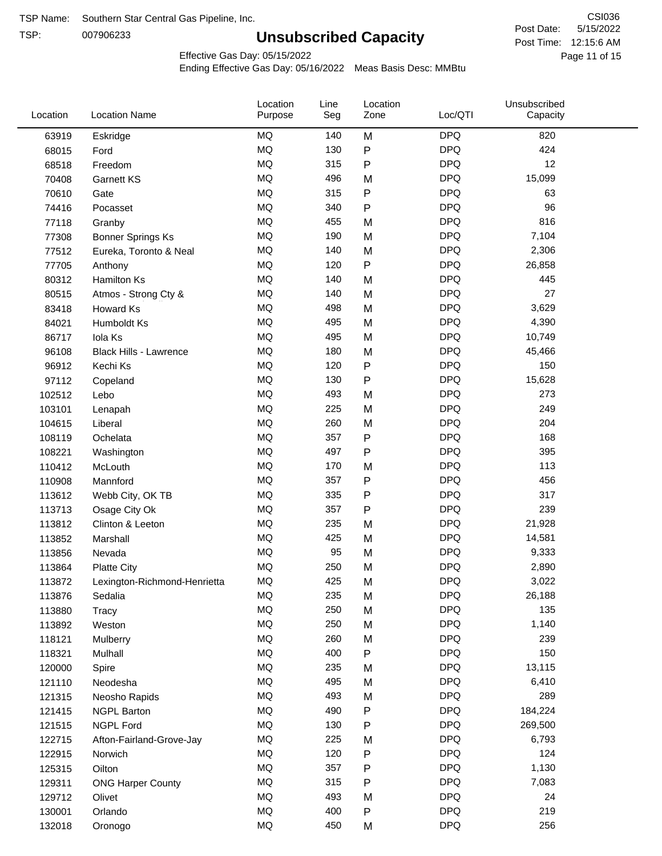TSP:

# **Unsubscribed Capacity**

5/15/2022 Page 11 of 15 Post Time: 12:15:6 AM CSI036 Post Date:

Effective Gas Day: 05/15/2022

| Location | <b>Location Name</b>          | Location<br>Purpose | Line<br>Seg | Location<br>Zone | Loc/QTI    | Unsubscribed<br>Capacity |  |
|----------|-------------------------------|---------------------|-------------|------------------|------------|--------------------------|--|
| 63919    | Eskridge                      | MQ                  | 140         | M                | <b>DPQ</b> | 820                      |  |
| 68015    | Ford                          | MQ                  | 130         | P                | <b>DPQ</b> | 424                      |  |
| 68518    | Freedom                       | <b>MQ</b>           | 315         | P                | <b>DPQ</b> | 12                       |  |
| 70408    | Garnett KS                    | <b>MQ</b>           | 496         | M                | <b>DPQ</b> | 15,099                   |  |
| 70610    | Gate                          | <b>MQ</b>           | 315         | P                | <b>DPQ</b> | 63                       |  |
| 74416    | Pocasset                      | <b>MQ</b>           | 340         | P                | <b>DPQ</b> | 96                       |  |
| 77118    | Granby                        | MQ                  | 455         | M                | <b>DPQ</b> | 816                      |  |
| 77308    | <b>Bonner Springs Ks</b>      | MQ                  | 190         | M                | <b>DPQ</b> | 7,104                    |  |
| 77512    | Eureka, Toronto & Neal        | MQ                  | 140         | M                | <b>DPQ</b> | 2,306                    |  |
| 77705    | Anthony                       | MQ                  | 120         | P                | <b>DPQ</b> | 26,858                   |  |
| 80312    | Hamilton Ks                   | MQ                  | 140         | M                | <b>DPQ</b> | 445                      |  |
| 80515    | Atmos - Strong Cty &          | MQ                  | 140         | M                | <b>DPQ</b> | 27                       |  |
| 83418    | Howard Ks                     | <b>MQ</b>           | 498         | M                | <b>DPQ</b> | 3,629                    |  |
| 84021    | Humboldt Ks                   | <b>MQ</b>           | 495         | M                | <b>DPQ</b> | 4,390                    |  |
| 86717    | Iola Ks                       | MQ                  | 495         | M                | <b>DPQ</b> | 10,749                   |  |
| 96108    | <b>Black Hills - Lawrence</b> | MQ                  | 180         | M                | <b>DPQ</b> | 45,466                   |  |
| 96912    | Kechi Ks                      | MQ                  | 120         | P                | <b>DPQ</b> | 150                      |  |
| 97112    | Copeland                      | MQ                  | 130         | Ρ                | <b>DPQ</b> | 15,628                   |  |
| 102512   | Lebo                          | <b>MQ</b>           | 493         | M                | <b>DPQ</b> | 273                      |  |
| 103101   | Lenapah                       | MQ                  | 225         | M                | <b>DPQ</b> | 249                      |  |
| 104615   | Liberal                       | MQ                  | 260         | M                | <b>DPQ</b> | 204                      |  |
| 108119   | Ochelata                      | <b>MQ</b>           | 357         | Ρ                | <b>DPQ</b> | 168                      |  |
| 108221   | Washington                    | <b>MQ</b>           | 497         | P                | <b>DPQ</b> | 395                      |  |
| 110412   | McLouth                       | <b>MQ</b>           | 170         | M                | <b>DPQ</b> | 113                      |  |
| 110908   | Mannford                      | MQ                  | 357         | Ρ                | <b>DPQ</b> | 456                      |  |
| 113612   | Webb City, OK TB              | MQ                  | 335         | P                | <b>DPQ</b> | 317                      |  |
| 113713   | Osage City Ok                 | MQ                  | 357         | Ρ                | <b>DPQ</b> | 239                      |  |
| 113812   | Clinton & Leeton              | MQ                  | 235         | M                | <b>DPQ</b> | 21,928                   |  |
| 113852   | Marshall                      | MQ                  | 425         | M                | <b>DPQ</b> | 14,581                   |  |
| 113856   | Nevada                        | MQ                  | 95          | M                | <b>DPQ</b> | 9,333                    |  |
| 113864   | <b>Platte City</b>            | MQ                  | 250         | M                | <b>DPQ</b> | 2,890                    |  |
| 113872   | Lexington-Richmond-Henrietta  | MQ                  | 425         | Μ                | <b>DPQ</b> | 3,022                    |  |
| 113876   | Sedalia                       | MQ                  | 235         | M                | <b>DPQ</b> | 26,188                   |  |
| 113880   | Tracy                         | MQ                  | 250         | M                | <b>DPQ</b> | 135                      |  |
| 113892   | Weston                        | MQ                  | 250         | M                | <b>DPQ</b> | 1,140                    |  |
| 118121   | Mulberry                      | MQ                  | 260         | M                | <b>DPQ</b> | 239                      |  |
| 118321   | Mulhall                       | MQ                  | 400         | P                | <b>DPQ</b> | 150                      |  |
| 120000   | Spire                         | MQ                  | 235         | M                | <b>DPQ</b> | 13,115                   |  |
| 121110   | Neodesha                      | MQ                  | 495         | M                | <b>DPQ</b> | 6,410                    |  |
| 121315   | Neosho Rapids                 | MQ                  | 493         | M                | <b>DPQ</b> | 289                      |  |
| 121415   | <b>NGPL Barton</b>            | MQ                  | 490         | Ρ                | <b>DPQ</b> | 184,224                  |  |
| 121515   | NGPL Ford                     | MQ                  | 130         | Ρ                | <b>DPQ</b> | 269,500                  |  |
| 122715   | Afton-Fairland-Grove-Jay      | MQ                  | 225         | M                | <b>DPQ</b> | 6,793                    |  |
| 122915   | Norwich                       | MQ                  | 120         | Ρ                | <b>DPQ</b> | 124                      |  |
| 125315   | Oilton                        | MQ                  | 357         | Ρ                | <b>DPQ</b> | 1,130                    |  |
| 129311   | <b>ONG Harper County</b>      | MQ                  | 315         | Ρ                | <b>DPQ</b> | 7,083                    |  |
| 129712   | Olivet                        | MQ                  | 493         | M                | <b>DPQ</b> | 24                       |  |
| 130001   | Orlando                       | MQ                  | 400         | Ρ                | <b>DPQ</b> | 219                      |  |
| 132018   | Oronogo                       | MQ                  | 450         | M                | <b>DPQ</b> | 256                      |  |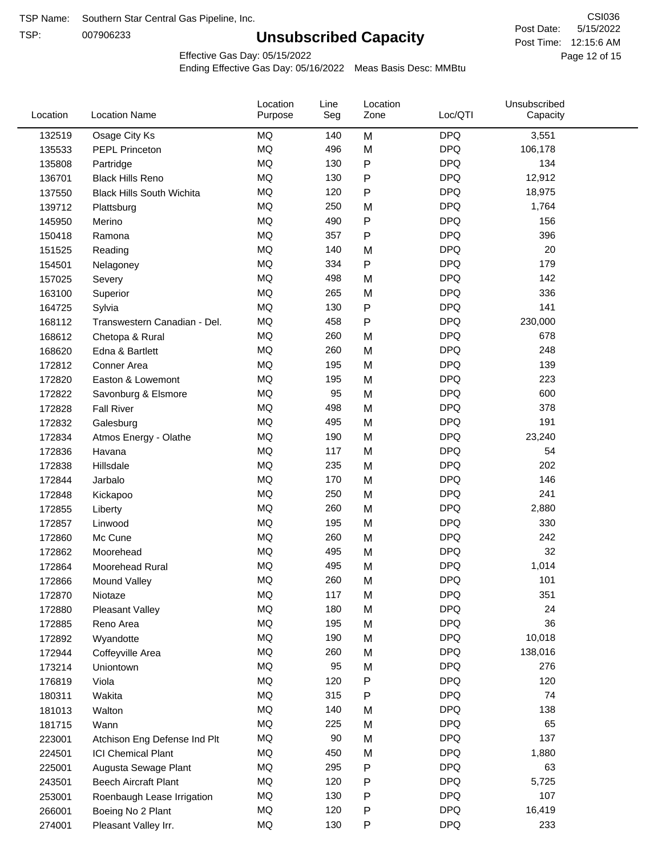TSP:

# **Unsubscribed Capacity**

5/15/2022 Page 12 of 15 Post Time: 12:15:6 AM CSI036 Post Date:

Effective Gas Day: 05/15/2022

| Location | <b>Location Name</b>             | Location<br>Purpose | Line<br>Seg | Location<br>Zone | Loc/QTI    | Unsubscribed<br>Capacity |  |
|----------|----------------------------------|---------------------|-------------|------------------|------------|--------------------------|--|
| 132519   | Osage City Ks                    | <b>MQ</b>           | 140         | M                | <b>DPQ</b> | 3,551                    |  |
| 135533   | <b>PEPL Princeton</b>            | MQ                  | 496         | M                | <b>DPQ</b> | 106,178                  |  |
| 135808   | Partridge                        | <b>MQ</b>           | 130         | ${\sf P}$        | <b>DPQ</b> | 134                      |  |
| 136701   | <b>Black Hills Reno</b>          | <b>MQ</b>           | 130         | ${\sf P}$        | <b>DPQ</b> | 12,912                   |  |
| 137550   | <b>Black Hills South Wichita</b> | <b>MQ</b>           | 120         | P                | <b>DPQ</b> | 18,975                   |  |
| 139712   | Plattsburg                       | <b>MQ</b>           | 250         | M                | <b>DPQ</b> | 1,764                    |  |
| 145950   | Merino                           | <b>MQ</b>           | 490         | P                | <b>DPQ</b> | 156                      |  |
| 150418   | Ramona                           | <b>MQ</b>           | 357         | $\mathsf{P}$     | <b>DPQ</b> | 396                      |  |
| 151525   | Reading                          | <b>MQ</b>           | 140         | M                | <b>DPQ</b> | 20                       |  |
| 154501   | Nelagoney                        | <b>MQ</b>           | 334         | ${\sf P}$        | <b>DPQ</b> | 179                      |  |
| 157025   | Severy                           | <b>MQ</b>           | 498         | M                | <b>DPQ</b> | 142                      |  |
| 163100   | Superior                         | <b>MQ</b>           | 265         | M                | <b>DPQ</b> | 336                      |  |
| 164725   | Sylvia                           | <b>MQ</b>           | 130         | P                | <b>DPQ</b> | 141                      |  |
| 168112   | Transwestern Canadian - Del.     | <b>MQ</b>           | 458         | P                | <b>DPQ</b> | 230,000                  |  |
| 168612   | Chetopa & Rural                  | <b>MQ</b>           | 260         | M                | <b>DPQ</b> | 678                      |  |
| 168620   | Edna & Bartlett                  | <b>MQ</b>           | 260         | M                | <b>DPQ</b> | 248                      |  |
| 172812   | Conner Area                      | <b>MQ</b>           | 195         | M                | <b>DPQ</b> | 139                      |  |
| 172820   | Easton & Lowemont                | <b>MQ</b>           | 195         | M                | <b>DPQ</b> | 223                      |  |
| 172822   | Savonburg & Elsmore              | <b>MQ</b>           | 95          | M                | <b>DPQ</b> | 600                      |  |
| 172828   | <b>Fall River</b>                | <b>MQ</b>           | 498         | M                | <b>DPQ</b> | 378                      |  |
| 172832   | Galesburg                        | <b>MQ</b>           | 495         | M                | <b>DPQ</b> | 191                      |  |
| 172834   | Atmos Energy - Olathe            | MQ                  | 190         | M                | <b>DPQ</b> | 23,240                   |  |
| 172836   | Havana                           | <b>MQ</b>           | 117         | M                | <b>DPQ</b> | 54                       |  |
| 172838   | Hillsdale                        | <b>MQ</b>           | 235         | M                | <b>DPQ</b> | 202                      |  |
| 172844   | Jarbalo                          | <b>MQ</b>           | 170         | M                | <b>DPQ</b> | 146                      |  |
| 172848   | Kickapoo                         | <b>MQ</b>           | 250         | M                | <b>DPQ</b> | 241                      |  |
| 172855   | Liberty                          | <b>MQ</b>           | 260         | M                | <b>DPQ</b> | 2,880                    |  |
| 172857   | Linwood                          | <b>MQ</b>           | 195         | M                | <b>DPQ</b> | 330                      |  |
| 172860   | Mc Cune                          | <b>MQ</b>           | 260         | M                | <b>DPQ</b> | 242                      |  |
| 172862   | Moorehead                        | <b>MQ</b>           | 495         | M                | <b>DPQ</b> | 32                       |  |
| 172864   | Moorehead Rural                  | <b>MQ</b>           | 495         | M                | <b>DPQ</b> | 1,014                    |  |
| 172866   | Mound Valley                     | <b>MQ</b>           | 260         | M                | <b>DPQ</b> | 101                      |  |
| 172870   | Niotaze                          | MQ                  | 117         | M                | <b>DPQ</b> | 351                      |  |
| 172880   | Pleasant Valley                  | MQ                  | 180         | M                | <b>DPQ</b> | 24                       |  |
| 172885   | Reno Area                        | <b>MQ</b>           | 195         | M                | <b>DPQ</b> | 36                       |  |
| 172892   | Wyandotte                        | MQ                  | 190         | M                | <b>DPQ</b> | 10,018                   |  |
| 172944   | Coffeyville Area                 | <b>MQ</b>           | 260         | M                | <b>DPQ</b> | 138,016                  |  |
| 173214   | Uniontown                        | MQ                  | 95          | M                | <b>DPQ</b> | 276                      |  |
| 176819   | Viola                            | <b>MQ</b>           | 120         | Ρ                | <b>DPQ</b> | 120                      |  |
| 180311   | Wakita                           | <b>MQ</b>           | 315         | Ρ                | <b>DPQ</b> | 74                       |  |
| 181013   | Walton                           | MQ                  | 140         | M                | <b>DPQ</b> | 138                      |  |
| 181715   | Wann                             | <b>MQ</b>           | 225         | M                | <b>DPQ</b> | 65                       |  |
| 223001   | Atchison Eng Defense Ind Plt     | MQ                  | 90          | M                | <b>DPQ</b> | 137                      |  |
| 224501   | <b>ICI Chemical Plant</b>        | MQ                  | 450         | M                | <b>DPQ</b> | 1,880                    |  |
| 225001   | Augusta Sewage Plant             | MQ                  | 295         | Ρ                | <b>DPQ</b> | 63                       |  |
| 243501   | Beech Aircraft Plant             | MQ                  | 120         | P                | <b>DPQ</b> | 5,725                    |  |
| 253001   | Roenbaugh Lease Irrigation       | MQ                  | 130         | P                | <b>DPQ</b> | 107                      |  |
| 266001   | Boeing No 2 Plant                | MQ                  | 120         | P                | <b>DPQ</b> | 16,419                   |  |
| 274001   | Pleasant Valley Irr.             | MQ                  | 130         | P                | <b>DPQ</b> | 233                      |  |
|          |                                  |                     |             |                  |            |                          |  |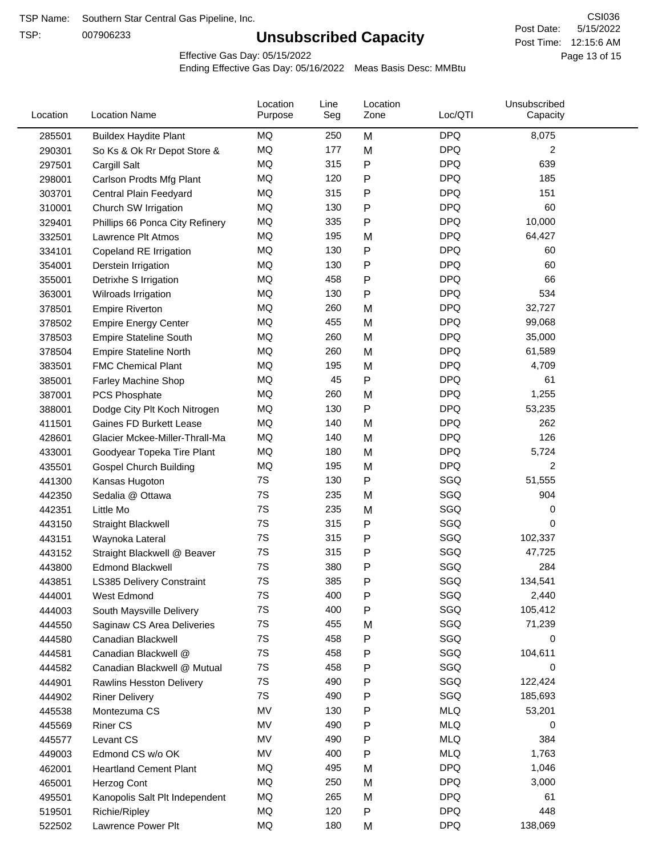TSP:

# **Unsubscribed Capacity**

5/15/2022 Page 13 of 15 Post Time: 12:15:6 AM CSI036 Post Date:

Effective Gas Day: 05/15/2022

| Location | <b>Location Name</b>            | Location<br>Purpose | Line<br>Seg | Location<br>Zone | Loc/QTI    | Unsubscribed<br>Capacity |  |
|----------|---------------------------------|---------------------|-------------|------------------|------------|--------------------------|--|
| 285501   | <b>Buildex Haydite Plant</b>    | MQ                  | 250         | M                | <b>DPQ</b> | 8,075                    |  |
| 290301   | So Ks & Ok Rr Depot Store &     | MQ                  | 177         | M                | <b>DPQ</b> | 2                        |  |
| 297501   | Cargill Salt                    | MQ                  | 315         | Ρ                | <b>DPQ</b> | 639                      |  |
| 298001   | Carlson Prodts Mfg Plant        | MQ                  | 120         | Ρ                | <b>DPQ</b> | 185                      |  |
| 303701   | Central Plain Feedyard          | MQ                  | 315         | P                | <b>DPQ</b> | 151                      |  |
| 310001   | Church SW Irrigation            | MQ                  | 130         | $\mathsf{P}$     | <b>DPQ</b> | 60                       |  |
| 329401   | Phillips 66 Ponca City Refinery | MQ                  | 335         | $\mathsf{P}$     | <b>DPQ</b> | 10,000                   |  |
| 332501   | Lawrence Plt Atmos              | MQ                  | 195         | M                | <b>DPQ</b> | 64,427                   |  |
| 334101   | Copeland RE Irrigation          | <b>MQ</b>           | 130         | ${\sf P}$        | <b>DPQ</b> | 60                       |  |
| 354001   | Derstein Irrigation             | MQ                  | 130         | P                | <b>DPQ</b> | 60                       |  |
| 355001   | Detrixhe S Irrigation           | MQ                  | 458         | P                | <b>DPQ</b> | 66                       |  |
| 363001   | Wilroads Irrigation             | MQ                  | 130         | $\mathsf{P}$     | <b>DPQ</b> | 534                      |  |
| 378501   | <b>Empire Riverton</b>          | <b>MQ</b>           | 260         | M                | <b>DPQ</b> | 32,727                   |  |
| 378502   | <b>Empire Energy Center</b>     | <b>MQ</b>           | 455         | M                | <b>DPQ</b> | 99,068                   |  |
| 378503   | <b>Empire Stateline South</b>   | MQ                  | 260         | M                | <b>DPQ</b> | 35,000                   |  |
| 378504   | <b>Empire Stateline North</b>   | MQ                  | 260         | M                | <b>DPQ</b> | 61,589                   |  |
| 383501   | <b>FMC Chemical Plant</b>       | MQ                  | 195         | M                | <b>DPQ</b> | 4,709                    |  |
| 385001   | Farley Machine Shop             | MQ                  | 45          | $\mathsf{P}$     | <b>DPQ</b> | 61                       |  |
| 387001   | PCS Phosphate                   | MQ                  | 260         | M                | <b>DPQ</b> | 1,255                    |  |
| 388001   | Dodge City Plt Koch Nitrogen    | MQ                  | 130         | Ρ                | <b>DPQ</b> | 53,235                   |  |
| 411501   | Gaines FD Burkett Lease         | MQ                  | 140         | M                | <b>DPQ</b> | 262                      |  |
| 428601   | Glacier Mckee-Miller-Thrall-Ma  | MQ                  | 140         | M                | <b>DPQ</b> | 126                      |  |
| 433001   | Goodyear Topeka Tire Plant      | MQ                  | 180         | M                | <b>DPQ</b> | 5,724                    |  |
| 435501   | <b>Gospel Church Building</b>   | MQ                  | 195         | M                | <b>DPQ</b> | $\overline{c}$           |  |
| 441300   | Kansas Hugoton                  | 7S                  | 130         | P                | SGQ        | 51,555                   |  |
| 442350   | Sedalia @ Ottawa                | 7S                  | 235         | M                | SGQ        | 904                      |  |
| 442351   | Little Mo                       | 7S                  | 235         | M                | SGQ        | 0                        |  |
| 443150   | <b>Straight Blackwell</b>       | 7S                  | 315         | ${\sf P}$        | SGQ        | 0                        |  |
| 443151   | Waynoka Lateral                 | 7S                  | 315         | P                | SGQ        | 102,337                  |  |
| 443152   | Straight Blackwell @ Beaver     | 7S                  | 315         | P                | SGQ        | 47,725                   |  |
| 443800   | <b>Edmond Blackwell</b>         | 7S                  | 380         | Ρ                | SGQ        | 284                      |  |
| 443851   | LS385 Delivery Constraint       | 7S                  | 385         | Ρ                | SGQ        | 134,541                  |  |
| 444001   | West Edmond                     | 7S                  | 400         | P                | SGQ        | 2,440                    |  |
| 444003   | South Maysville Delivery        | 7S                  | 400         | P                | SGQ        | 105,412                  |  |
| 444550   | Saginaw CS Area Deliveries      | 7S                  | 455         | M                | SGQ        | 71,239                   |  |
| 444580   | Canadian Blackwell              | 7S                  | 458         | Ρ                | SGQ        | 0                        |  |
| 444581   | Canadian Blackwell @            | 7S                  | 458         | $\mathsf{P}$     | SGQ        | 104,611                  |  |
| 444582   | Canadian Blackwell @ Mutual     | 7S                  | 458         | Ρ                | SGQ        | 0                        |  |
| 444901   | <b>Rawlins Hesston Delivery</b> | 7S                  | 490         | P                | SGQ        | 122,424                  |  |
| 444902   | <b>Riner Delivery</b>           | 7S                  | 490         | Ρ                | SGQ        | 185,693                  |  |
| 445538   | Montezuma CS                    | MV                  | 130         | P                | <b>MLQ</b> | 53,201                   |  |
| 445569   | <b>Riner CS</b>                 | MV                  | 490         | P                | <b>MLQ</b> | 0                        |  |
| 445577   | Levant CS                       | MV                  | 490         | $\mathsf{P}$     | <b>MLQ</b> | 384                      |  |
| 449003   | Edmond CS w/o OK                | MV                  | 400         | $\mathsf{P}$     | <b>MLQ</b> | 1,763                    |  |
| 462001   | <b>Heartland Cement Plant</b>   | MQ                  | 495         | M                | <b>DPQ</b> | 1,046                    |  |
| 465001   | Herzog Cont                     | MQ                  | 250         | M                | <b>DPQ</b> | 3,000                    |  |
| 495501   | Kanopolis Salt Plt Independent  | MQ                  | 265         | M                | <b>DPQ</b> | 61                       |  |
| 519501   | Richie/Ripley                   | MQ                  | 120         | $\mathsf{P}$     | <b>DPQ</b> | 448                      |  |
| 522502   | Lawrence Power Plt              | MQ                  | 180         | M                | <b>DPQ</b> | 138,069                  |  |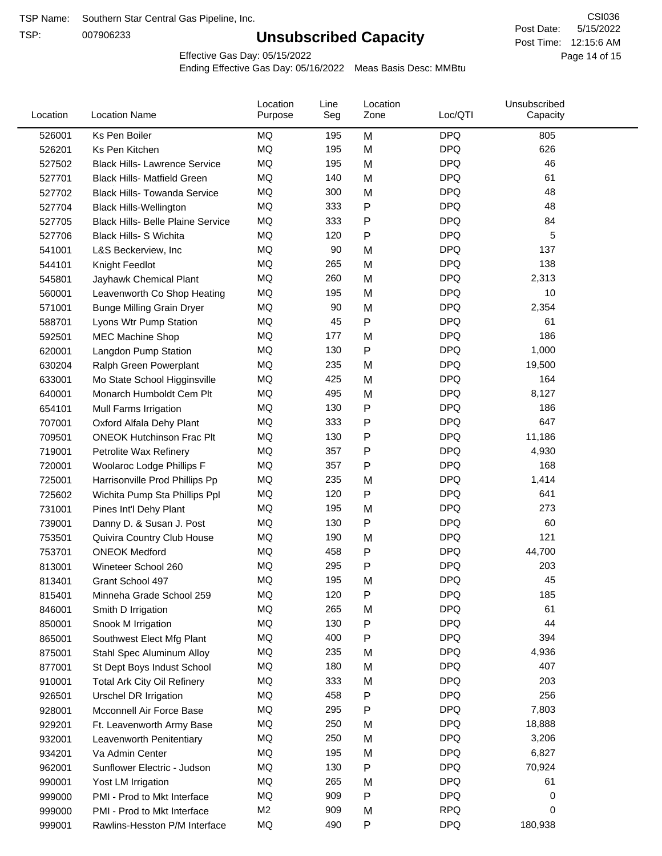TSP:

# **Unsubscribed Capacity**

5/15/2022 Page 14 of 15 Post Time: 12:15:6 AM CSI036 Post Date:

Effective Gas Day: 05/15/2022

| Location | <b>Location Name</b>                     | Location<br>Purpose | Line<br>Seg | Location<br>Zone | Loc/QTI    | Unsubscribed<br>Capacity |  |
|----------|------------------------------------------|---------------------|-------------|------------------|------------|--------------------------|--|
| 526001   | Ks Pen Boiler                            | MQ                  | 195         | M                | <b>DPQ</b> | 805                      |  |
| 526201   | Ks Pen Kitchen                           | MQ                  | 195         | M                | <b>DPQ</b> | 626                      |  |
| 527502   | <b>Black Hills- Lawrence Service</b>     | MQ                  | 195         | M                | <b>DPQ</b> | 46                       |  |
| 527701   | <b>Black Hills- Matfield Green</b>       | MQ                  | 140         | M                | <b>DPQ</b> | 61                       |  |
| 527702   | <b>Black Hills- Towanda Service</b>      | MQ                  | 300         | M                | <b>DPQ</b> | 48                       |  |
| 527704   | <b>Black Hills-Wellington</b>            | MQ                  | 333         | $\mathsf{P}$     | <b>DPQ</b> | 48                       |  |
| 527705   | <b>Black Hills- Belle Plaine Service</b> | MQ                  | 333         | P                | <b>DPQ</b> | 84                       |  |
| 527706   | <b>Black Hills- S Wichita</b>            | MQ                  | 120         | P                | <b>DPQ</b> | 5                        |  |
| 541001   | L&S Beckerview, Inc                      | MQ                  | 90          | M                | <b>DPQ</b> | 137                      |  |
| 544101   | Knight Feedlot                           | MQ                  | 265         | M                | <b>DPQ</b> | 138                      |  |
| 545801   | Jayhawk Chemical Plant                   | MQ                  | 260         | M                | <b>DPQ</b> | 2,313                    |  |
| 560001   | Leavenworth Co Shop Heating              | <b>MQ</b>           | 195         | M                | <b>DPQ</b> | 10                       |  |
| 571001   | <b>Bunge Milling Grain Dryer</b>         | <b>MQ</b>           | 90          | M                | <b>DPQ</b> | 2,354                    |  |
| 588701   | Lyons Wtr Pump Station                   | MQ                  | 45          | $\mathsf{P}$     | <b>DPQ</b> | 61                       |  |
| 592501   | <b>MEC Machine Shop</b>                  | MQ                  | 177         | M                | <b>DPQ</b> | 186                      |  |
| 620001   | Langdon Pump Station                     | MQ                  | 130         | $\mathsf{P}$     | <b>DPQ</b> | 1,000                    |  |
| 630204   | Ralph Green Powerplant                   | MQ                  | 235         | M                | <b>DPQ</b> | 19,500                   |  |
| 633001   | Mo State School Higginsville             | MQ                  | 425         | M                | <b>DPQ</b> | 164                      |  |
| 640001   | Monarch Humboldt Cem Plt                 | MQ                  | 495         | M                | <b>DPQ</b> | 8,127                    |  |
| 654101   | Mull Farms Irrigation                    | MQ                  | 130         | P                | <b>DPQ</b> | 186                      |  |
| 707001   | Oxford Alfala Dehy Plant                 | <b>MQ</b>           | 333         | P                | <b>DPQ</b> | 647                      |  |
| 709501   | <b>ONEOK Hutchinson Frac Plt</b>         | <b>MQ</b>           | 130         | P                | <b>DPQ</b> | 11,186                   |  |
| 719001   | Petrolite Wax Refinery                   | MQ                  | 357         | P                | <b>DPQ</b> | 4,930                    |  |
| 720001   | Woolaroc Lodge Phillips F                | MQ                  | 357         | $\mathsf{P}$     | <b>DPQ</b> | 168                      |  |
| 725001   | Harrisonville Prod Phillips Pp           | MQ                  | 235         | M                | <b>DPQ</b> | 1,414                    |  |
| 725602   | Wichita Pump Sta Phillips Ppl            | MQ                  | 120         | P                | <b>DPQ</b> | 641                      |  |
| 731001   | Pines Int'l Dehy Plant                   | MQ                  | 195         | M                | <b>DPQ</b> | 273                      |  |
| 739001   | Danny D. & Susan J. Post                 | MQ                  | 130         | P                | <b>DPQ</b> | 60                       |  |
| 753501   | Quivira Country Club House               | MQ                  | 190         | M                | <b>DPQ</b> | 121                      |  |
| 753701   | <b>ONEOK Medford</b>                     | MQ                  | 458         | P                | <b>DPQ</b> | 44,700                   |  |
| 813001   | Wineteer School 260                      | MQ                  | 295         | P                | <b>DPQ</b> | 203                      |  |
| 813401   | Grant School 497                         | <b>MQ</b>           | 195         | M                | <b>DPQ</b> | 45                       |  |
| 815401   | Minneha Grade School 259                 | MQ                  | 120         | P                | <b>DPQ</b> | 185                      |  |
| 846001   | Smith D Irrigation                       | MQ                  | 265         | M                | <b>DPQ</b> | 61                       |  |
| 850001   | Snook M Irrigation                       | MQ                  | 130         | P                | <b>DPQ</b> | 44                       |  |
| 865001   | Southwest Elect Mfg Plant                | MQ                  | 400         | $\mathsf{P}$     | <b>DPQ</b> | 394                      |  |
| 875001   | Stahl Spec Aluminum Alloy                | MQ                  | 235         | M                | <b>DPQ</b> | 4,936                    |  |
| 877001   | St Dept Boys Indust School               | MQ                  | 180         | M                | <b>DPQ</b> | 407                      |  |
| 910001   | <b>Total Ark City Oil Refinery</b>       | MQ                  | 333         | M                | <b>DPQ</b> | 203                      |  |
| 926501   | <b>Urschel DR Irrigation</b>             | MQ                  | 458         | ${\sf P}$        | <b>DPQ</b> | 256                      |  |
| 928001   | Mcconnell Air Force Base                 | MQ                  | 295         | P                | <b>DPQ</b> | 7,803                    |  |
| 929201   | Ft. Leavenworth Army Base                | MQ                  | 250         | M                | <b>DPQ</b> | 18,888                   |  |
| 932001   | Leavenworth Penitentiary                 | MQ                  | 250         | M                | <b>DPQ</b> | 3,206                    |  |
| 934201   | Va Admin Center                          | MQ                  | 195         | M                | <b>DPQ</b> | 6,827                    |  |
| 962001   | Sunflower Electric - Judson              | MQ                  | 130         | ${\sf P}$        | <b>DPQ</b> | 70,924                   |  |
| 990001   | Yost LM Irrigation                       | MQ                  | 265         | M                | <b>DPQ</b> | 61                       |  |
| 999000   | PMI - Prod to Mkt Interface              | MQ                  | 909         | P                | <b>DPQ</b> | 0                        |  |
| 999000   | PMI - Prod to Mkt Interface              | M <sub>2</sub>      | 909         | M                | <b>RPQ</b> | 0                        |  |
| 999001   | Rawlins-Hesston P/M Interface            | MQ                  | 490         | ${\sf P}$        | <b>DPQ</b> | 180,938                  |  |